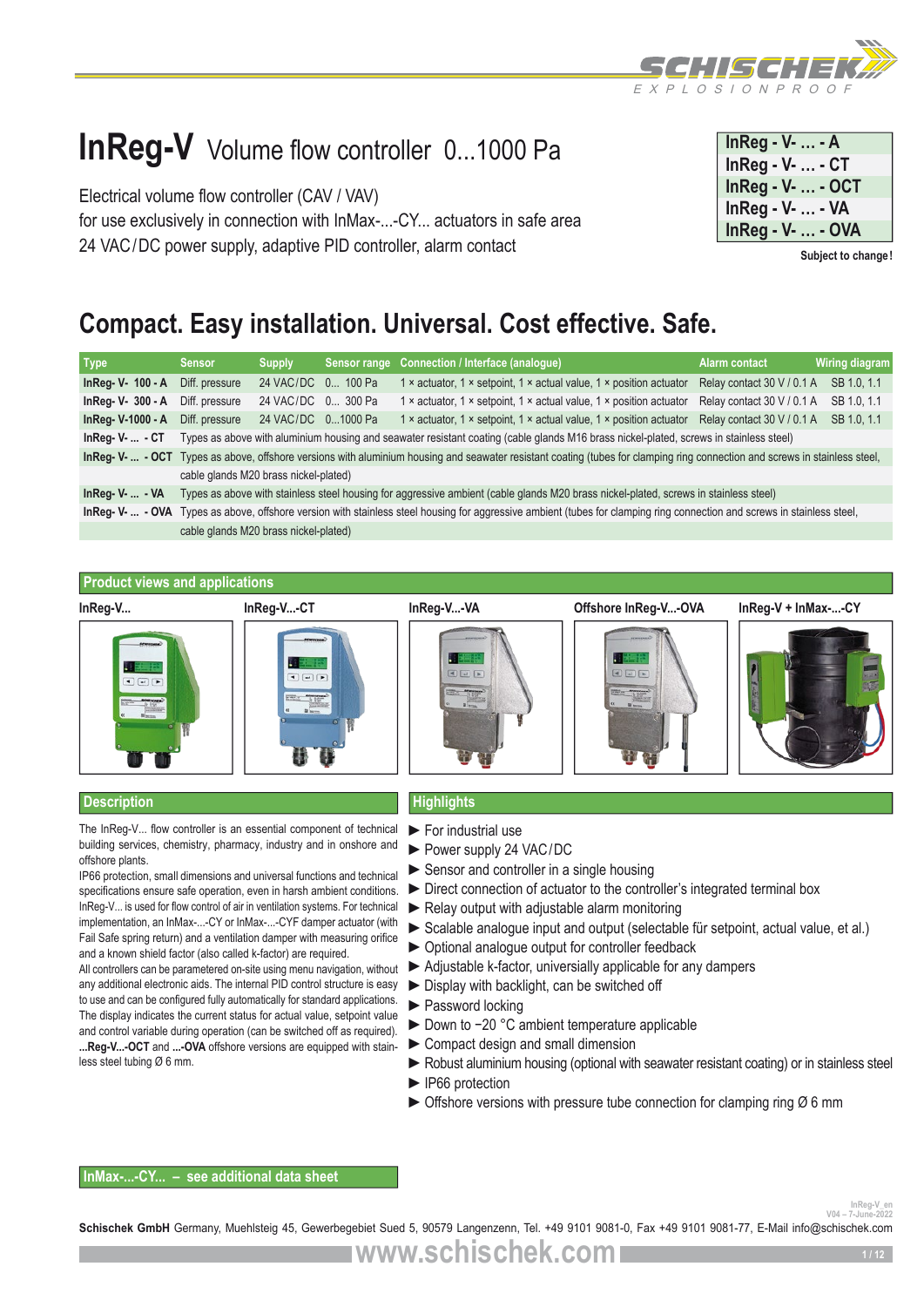

# **InReg-V** Volume flow controller 0...1000 Pa

Electrical volume flow controller (CAV / VAV) for use exclusively in connection with InMax-...-CY... actuators in safe area 24 VAC/DC power supply, adaptive PID controller, alarm contact

| In Reg - $V_1$ - A |
|--------------------|
| $InReg - V-  - CT$ |
| InReg - V-  - OCT  |
| InReg - V-  - VA   |
| InReg - V-  - OVA  |

**Subject to change!**

## **Compact. Easy installation. Universal. Cost effective. Safe.**

| <b>Type</b>            | <b>Sensor</b>                                                                                                                                                            | <b>Supply</b>                                                                                                                                                               |  | Sensor range Connection / Interface (analogue)                                                                                         | Alarm contact              | Wiring diagram |  |  |  |
|------------------------|--------------------------------------------------------------------------------------------------------------------------------------------------------------------------|-----------------------------------------------------------------------------------------------------------------------------------------------------------------------------|--|----------------------------------------------------------------------------------------------------------------------------------------|----------------------------|----------------|--|--|--|
| In $Req - V - 100 - A$ | Diff. pressure                                                                                                                                                           | 24 VAC/DC 0 100 Pa                                                                                                                                                          |  | 1 x actuator, 1 x setpoint, 1 x actual value, 1 x position actuator                                                                    | Relay contact 30 V / 0.1 A | SB 1.0, 1.1    |  |  |  |
| InReg- V- 300 - A      | Diff. pressure                                                                                                                                                           | 24 VAC/DC 0 300 Pa                                                                                                                                                          |  | 1 x actuator, 1 x setpoint, 1 x actual value, 1 x position actuator                                                                    | Relay contact 30 V / 0.1 A | SB 1.0, 1.1    |  |  |  |
| InReg-V-1000 - A       | Diff. pressure                                                                                                                                                           | 24 VAC/DC 01000 Pa                                                                                                                                                          |  | 1 x actuator, 1 x setpoint, 1 x actual value, 1 x position actuator                                                                    | Relay contact 30 V / 0.1 A | SB 1.0, 1.1    |  |  |  |
| $InReq-V  - CT$        |                                                                                                                                                                          |                                                                                                                                                                             |  | Types as above with aluminium housing and seawater resistant coating (cable glands M16 brass nickel-plated, screws in stainless steel) |                            |                |  |  |  |
|                        |                                                                                                                                                                          | InReg- V-  - OCT Types as above, offshore versions with aluminium housing and seawater resistant coating (tubes for clamping ring connection and screws in stainless steel, |  |                                                                                                                                        |                            |                |  |  |  |
|                        | cable glands M20 brass nickel-plated)                                                                                                                                    |                                                                                                                                                                             |  |                                                                                                                                        |                            |                |  |  |  |
| $InReq-V  - VA$        | Types as above with stainless steel housing for aggressive ambient (cable glands M20 brass nickel-plated, screws in stainless steel)                                     |                                                                                                                                                                             |  |                                                                                                                                        |                            |                |  |  |  |
|                        | InReg- V-  - OVA Types as above, offshore version with stainless steel housing for aggressive ambient (tubes for clamping ring connection and screws in stainless steel, |                                                                                                                                                                             |  |                                                                                                                                        |                            |                |  |  |  |
|                        | cable glands M20 brass nickel-plated)                                                                                                                                    |                                                                                                                                                                             |  |                                                                                                                                        |                            |                |  |  |  |

#### **Product views and applications**



#### **Description Highlights**

The InReg-V... flow controller is an essential component of technical building services, chemistry, pharmacy, industry and in onshore and offshore plants.

IP66 protection, small dimensions and universal functions and technical specifications ensure safe operation, even in harsh ambient conditions. InReg-V... is used for flow control of air in ventilation systems. For technical implementation, an InMax-...-CY or InMax-...-CYF damper actuator (with Fail Safe spring return) and a ventilation damper with measuring orifice and a known shield factor (also called k-factor) are required.

All controllers can be parametered on-site using menu navigation, without any additional electronic aids. The internal PID control structure is easy to use and can be configured fully automatically for standard applications. The display indicates the current status for actual value, setpoint value and control variable during operation (can be switched off as required). **...Reg-V...-OCT** and **...-OVA** offshore versions are equipped with stainless steel tubing Ø 6 mm.

- ►For industrial use
- ►Power supply 24 VAC/DC
- ► Sensor and controller in a single housing
- ►Direct connection of actuator to the controller's integrated terminal box
- $\blacktriangleright$  Relay output with adjustable alarm monitoring
- ► Scalable analogue input and output (selectable für setpoint, actual value, et al.)
- ►Optional analogue output for controller feedback
- ► Adjustable k-factor, universially applicable for any dampers
- ►Display with backlight, can be switched off
- ►Password locking
- ► Down to -20 °C ambient temperature applicable
- ► Compact design and small dimension
- ► Robust aluminium housing (optional with seawater resistant coating) or in stainless steel
- ► IP66 protection
- $\triangleright$  Offshore versions with pressure tube connection for clamping ring  $\varnothing$  6 mm

### **InMax-...-CY... – see additional data sheet**

**Vn4 – 7-June-20**<br>**Vn4 – 7-June-20** 

Schischek GmbH Germany, Muehlsteig 45, Gewerbegebiet Sued 5, 90579 Langenzenn, Tel. +49 9101 9081-0, Fax +49 9101 9081-77, E-Mail info@schischek.com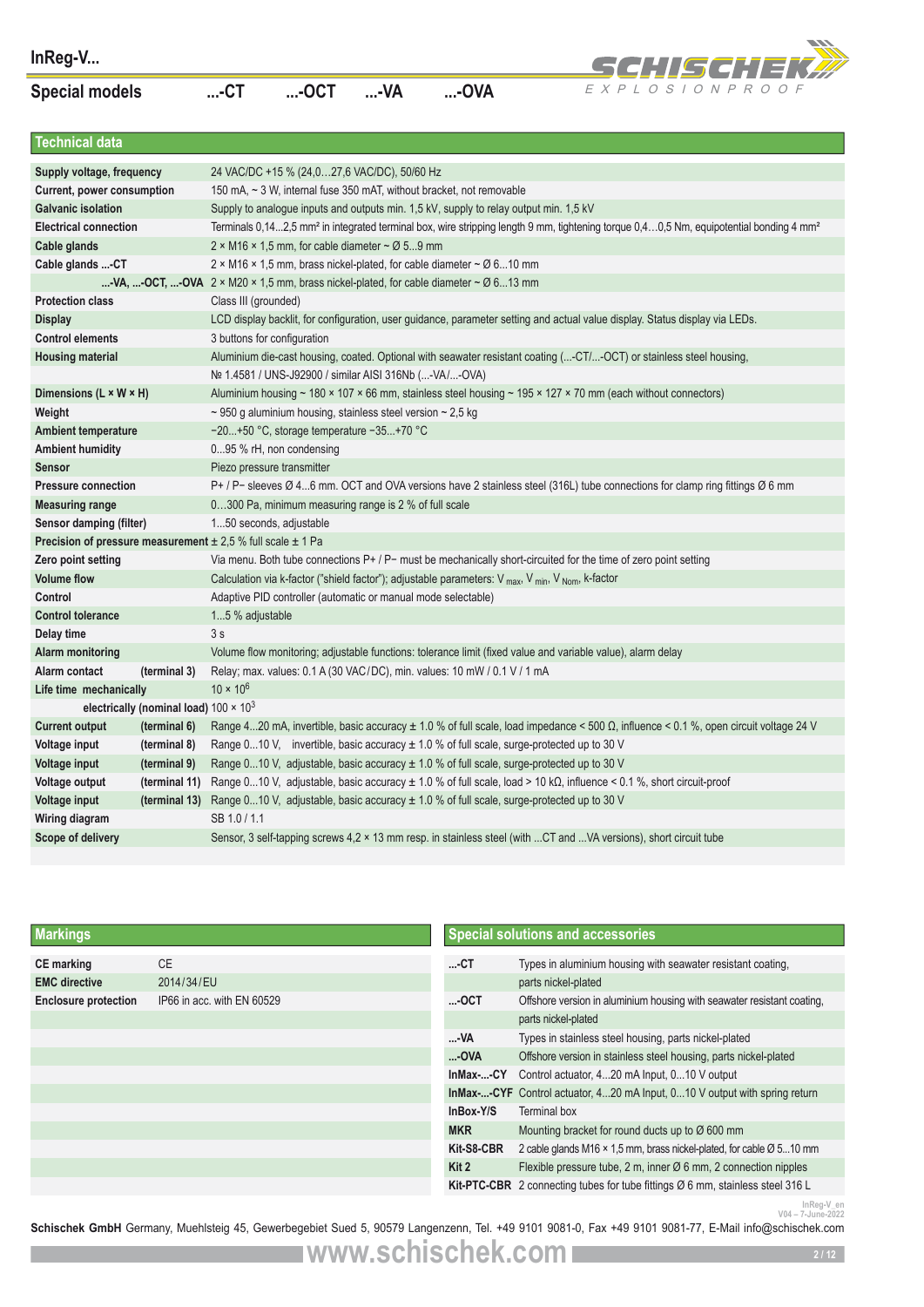

| InReg-V                                                                    |                                               |                                                                                                                                      |                                                                       |                                                                                               |                                                                                                               | SCHISCHEK#                                                                                                                                                                                 |  |  |  |
|----------------------------------------------------------------------------|-----------------------------------------------|--------------------------------------------------------------------------------------------------------------------------------------|-----------------------------------------------------------------------|-----------------------------------------------------------------------------------------------|---------------------------------------------------------------------------------------------------------------|--------------------------------------------------------------------------------------------------------------------------------------------------------------------------------------------|--|--|--|
| <b>Special models</b>                                                      |                                               | $$ -CT                                                                                                                               | $$ -OCT                                                               | $$ -VA                                                                                        | $$ -OVA                                                                                                       | EXPLOSIONPROOF                                                                                                                                                                             |  |  |  |
|                                                                            |                                               |                                                                                                                                      |                                                                       |                                                                                               |                                                                                                               |                                                                                                                                                                                            |  |  |  |
| <b>Technical data</b>                                                      |                                               |                                                                                                                                      |                                                                       |                                                                                               |                                                                                                               |                                                                                                                                                                                            |  |  |  |
| Supply voltage, frequency                                                  |                                               |                                                                                                                                      | 24 VAC/DC +15 % (24,027,6 VAC/DC), 50/60 Hz                           |                                                                                               |                                                                                                               |                                                                                                                                                                                            |  |  |  |
| Current, power consumption                                                 |                                               |                                                                                                                                      |                                                                       |                                                                                               | 150 mA, ~ 3 W, internal fuse 350 mAT, without bracket, not removable                                          |                                                                                                                                                                                            |  |  |  |
| <b>Galvanic isolation</b>                                                  |                                               |                                                                                                                                      |                                                                       |                                                                                               | Supply to analogue inputs and outputs min. 1,5 kV, supply to relay output min. 1,5 kV                         |                                                                                                                                                                                            |  |  |  |
| <b>Electrical connection</b>                                               |                                               |                                                                                                                                      |                                                                       |                                                                                               |                                                                                                               | Terminals 0,142,5 mm <sup>2</sup> in integrated terminal box, wire stripping length 9 mm, tightening torque 0,40,5 Nm, equipotential bonding 4 mm <sup>2</sup>                             |  |  |  |
| Cable glands                                                               |                                               |                                                                                                                                      | 2 × M16 × 1,5 mm, for cable diameter $\sim$ Ø 59 mm                   |                                                                                               |                                                                                                               |                                                                                                                                                                                            |  |  |  |
| Cable glands  CT                                                           |                                               |                                                                                                                                      |                                                                       |                                                                                               | $2 \times M16 \times 1.5$ mm, brass nickel-plated, for cable diameter ~ $\varnothing$ 610 mm                  |                                                                                                                                                                                            |  |  |  |
|                                                                            |                                               |                                                                                                                                      |                                                                       |                                                                                               | -VA, -OCT, -OVA $2 \times M20 \times 1.5$ mm, brass nickel-plated, for cable diameter $\sim \emptyset$ 613 mm |                                                                                                                                                                                            |  |  |  |
| <b>Protection class</b>                                                    |                                               | Class III (grounded)                                                                                                                 |                                                                       |                                                                                               |                                                                                                               |                                                                                                                                                                                            |  |  |  |
| <b>Display</b>                                                             |                                               |                                                                                                                                      |                                                                       |                                                                                               |                                                                                                               | LCD display backlit, for configuration, user guidance, parameter setting and actual value display. Status display via LEDs.                                                                |  |  |  |
| <b>Control elements</b>                                                    |                                               | 3 buttons for configuration                                                                                                          |                                                                       |                                                                                               |                                                                                                               |                                                                                                                                                                                            |  |  |  |
| <b>Housing material</b>                                                    |                                               |                                                                                                                                      | Nº 1.4581 / UNS-J92900 / similar AISI 316Nb (-VA/-OVA)                |                                                                                               |                                                                                                               | Aluminium die-cast housing, coated. Optional with seawater resistant coating (-CT/-OCT) or stainless steel housing,                                                                        |  |  |  |
| Dimensions (L × W × H)                                                     |                                               |                                                                                                                                      |                                                                       |                                                                                               |                                                                                                               | Aluminium housing ~ 180 × 107 × 66 mm, stainless steel housing ~ 195 × 127 × 70 mm (each without connectors)                                                                               |  |  |  |
| Weight                                                                     |                                               |                                                                                                                                      | $\sim$ 950 g aluminium housing, stainless steel version $\sim$ 2,5 kg |                                                                                               |                                                                                                               |                                                                                                                                                                                            |  |  |  |
| <b>Ambient temperature</b>                                                 |                                               |                                                                                                                                      | -20+50 °C, storage temperature -35+70 °C                              |                                                                                               |                                                                                                               |                                                                                                                                                                                            |  |  |  |
| <b>Ambient humidity</b>                                                    |                                               |                                                                                                                                      | 095 % rH, non condensing                                              |                                                                                               |                                                                                                               |                                                                                                                                                                                            |  |  |  |
| <b>Sensor</b>                                                              |                                               | Piezo pressure transmitter                                                                                                           |                                                                       |                                                                                               |                                                                                                               |                                                                                                                                                                                            |  |  |  |
| <b>Pressure connection</b>                                                 |                                               |                                                                                                                                      |                                                                       |                                                                                               |                                                                                                               | P+ / P- sleeves Ø 46 mm. OCT and OVA versions have 2 stainless steel (316L) tube connections for clamp ring fittings Ø 6 mm                                                                |  |  |  |
| <b>Measuring range</b>                                                     |                                               |                                                                                                                                      | 0300 Pa, minimum measuring range is 2 % of full scale                 |                                                                                               |                                                                                                               |                                                                                                                                                                                            |  |  |  |
| Sensor damping (filter)                                                    |                                               | 150 seconds, adjustable                                                                                                              |                                                                       |                                                                                               |                                                                                                               |                                                                                                                                                                                            |  |  |  |
| <b>Precision of pressure measurement</b> $\pm 2.5$ % full scale $\pm 1$ Pa |                                               |                                                                                                                                      |                                                                       |                                                                                               |                                                                                                               |                                                                                                                                                                                            |  |  |  |
| Zero point setting                                                         |                                               |                                                                                                                                      |                                                                       |                                                                                               |                                                                                                               | Via menu. Both tube connections P+ / P- must be mechanically short-circuited for the time of zero point setting                                                                            |  |  |  |
| <b>Volume flow</b>                                                         |                                               | Calculation via k-factor ("shield factor"); adjustable parameters: V <sub>max</sub> , V <sub>min</sub> , V <sub>Nom</sub> , k-factor |                                                                       |                                                                                               |                                                                                                               |                                                                                                                                                                                            |  |  |  |
| Control                                                                    |                                               | Adaptive PID controller (automatic or manual mode selectable)                                                                        |                                                                       |                                                                                               |                                                                                                               |                                                                                                                                                                                            |  |  |  |
| <b>Control tolerance</b>                                                   |                                               | 15 % adjustable                                                                                                                      |                                                                       |                                                                                               |                                                                                                               |                                                                                                                                                                                            |  |  |  |
| Delay time                                                                 |                                               | 3s                                                                                                                                   |                                                                       |                                                                                               |                                                                                                               |                                                                                                                                                                                            |  |  |  |
| <b>Alarm monitoring</b>                                                    |                                               |                                                                                                                                      |                                                                       |                                                                                               |                                                                                                               | Volume flow monitoring; adjustable functions: tolerance limit (fixed value and variable value), alarm delay                                                                                |  |  |  |
| Alarm contact                                                              | (terminal 3)                                  |                                                                                                                                      |                                                                       |                                                                                               | Relay; max. values: 0.1 A (30 VAC/DC), min. values: 10 mW / 0.1 V / 1 mA                                      |                                                                                                                                                                                            |  |  |  |
| Life time mechanically                                                     |                                               | $10 \times 10^{6}$                                                                                                                   |                                                                       |                                                                                               |                                                                                                               |                                                                                                                                                                                            |  |  |  |
|                                                                            | electrically (nominal load) $100 \times 10^3$ |                                                                                                                                      |                                                                       |                                                                                               |                                                                                                               |                                                                                                                                                                                            |  |  |  |
| <b>Current output</b>                                                      | (terminal 6)                                  |                                                                                                                                      |                                                                       |                                                                                               |                                                                                                               | Range 420 mA, invertible, basic accuracy $\pm$ 1.0 % of full scale, load impedance < 500 $\Omega$ , influence < 0.1 %, open circuit voltage 24 V                                           |  |  |  |
| Voltage input                                                              | (terminal 8)<br>(terminal 9)                  |                                                                                                                                      |                                                                       |                                                                                               |                                                                                                               | Range 010 V, invertible, basic accuracy $\pm$ 1.0 % of full scale, surge-protected up to 30 V<br>Range 010 V, adjustable, basic accuracy ± 1.0 % of full scale, surge-protected up to 30 V |  |  |  |
| Voltage input<br>Voltage output                                            | (terminal 11)                                 |                                                                                                                                      |                                                                       |                                                                                               |                                                                                                               | Range 010 V, adjustable, basic accuracy $\pm$ 1.0 % of full scale, load > 10 k $\Omega$ , influence < 0.1 %, short circuit-proof                                                           |  |  |  |
| Voltage input                                                              | (terminal 13)                                 |                                                                                                                                      |                                                                       |                                                                                               |                                                                                                               |                                                                                                                                                                                            |  |  |  |
| Wiring diagram                                                             |                                               | SB 1.0 / 1.1                                                                                                                         |                                                                       | Range 010 V, adjustable, basic accuracy $\pm$ 1.0 % of full scale, surge-protected up to 30 V |                                                                                                               |                                                                                                                                                                                            |  |  |  |
| Scope of delivery                                                          |                                               | Sensor, 3 self-tapping screws 4,2 × 13 mm resp. in stainless steel (with CT and VA versions), short circuit tube                     |                                                                       |                                                                                               |                                                                                                               |                                                                                                                                                                                            |  |  |  |
|                                                                            |                                               |                                                                                                                                      |                                                                       |                                                                                               |                                                                                                               |                                                                                                                                                                                            |  |  |  |
|                                                                            |                                               |                                                                                                                                      |                                                                       |                                                                                               |                                                                                                               |                                                                                                                                                                                            |  |  |  |
| <b>Markings</b>                                                            |                                               |                                                                                                                                      |                                                                       |                                                                                               |                                                                                                               | <b>Special solutions and accessories</b>                                                                                                                                                   |  |  |  |
| <b>CE</b> marking                                                          | СE                                            |                                                                                                                                      |                                                                       |                                                                                               | -СТ                                                                                                           | Types in aluminium housing with seawater resistant coating,                                                                                                                                |  |  |  |
| <b>EMC</b> directive                                                       | 2014/34/EU                                    |                                                                                                                                      |                                                                       |                                                                                               |                                                                                                               | parts nickel-plated                                                                                                                                                                        |  |  |  |
| <b>Enclosure protection</b>                                                |                                               | IP66 in acc. with EN 60529                                                                                                           |                                                                       |                                                                                               | -ОСТ                                                                                                          | Offshore version in aluminium housing with seawater resistant coating,                                                                                                                     |  |  |  |
|                                                                            |                                               |                                                                                                                                      |                                                                       |                                                                                               |                                                                                                               | parts nickel-plated                                                                                                                                                                        |  |  |  |
|                                                                            |                                               |                                                                                                                                      |                                                                       |                                                                                               | -VA                                                                                                           | Types in stainless steel housing, parts nickel-plated                                                                                                                                      |  |  |  |
|                                                                            |                                               |                                                                                                                                      |                                                                       |                                                                                               | -OVA                                                                                                          | Offshore version in stainless steel housing, parts nickel-plated                                                                                                                           |  |  |  |
|                                                                            |                                               |                                                                                                                                      |                                                                       |                                                                                               | InMax--CY                                                                                                     | Control actuator, 420 mA Input, 010 V output                                                                                                                                               |  |  |  |
|                                                                            |                                               |                                                                                                                                      |                                                                       |                                                                                               |                                                                                                               | <b>InMax--CYF</b> Control actuator, 420 mA Input, 010 V output with spring return                                                                                                          |  |  |  |
|                                                                            |                                               |                                                                                                                                      |                                                                       |                                                                                               | InBox-Y/S                                                                                                     | Terminal box                                                                                                                                                                               |  |  |  |
|                                                                            |                                               |                                                                                                                                      |                                                                       |                                                                                               | <b>MKR</b>                                                                                                    | Mounting bracket for round ducts up to Ø 600 mm                                                                                                                                            |  |  |  |
|                                                                            |                                               |                                                                                                                                      |                                                                       |                                                                                               | Kit-S8-CBR                                                                                                    | 2 cable glands M16 × 1,5 mm, brass nickel-plated, for cable Ø 510 mm                                                                                                                       |  |  |  |
|                                                                            |                                               |                                                                                                                                      |                                                                       |                                                                                               | Kit 2                                                                                                         | Flexible pressure tube, 2 m, inner Ø 6 mm, 2 connection nipples                                                                                                                            |  |  |  |
|                                                                            |                                               |                                                                                                                                      |                                                                       |                                                                                               |                                                                                                               | Kit-PTC-CBR 2 connecting tubes for tube fittings Ø 6 mm, stainless steel 316 L                                                                                                             |  |  |  |
|                                                                            |                                               |                                                                                                                                      |                                                                       |                                                                                               |                                                                                                               | InReg-V_er<br>V04 – 7-June-2022                                                                                                                                                            |  |  |  |

| <b>Markings</b>             |                            |            | <b>Special solutions and accessories</b>                                                |
|-----------------------------|----------------------------|------------|-----------------------------------------------------------------------------------------|
| <b>CE</b> marking           | <b>CE</b>                  | $$ -CT     | Types in aluminium housing with seawater resistant coating,                             |
| <b>EMC</b> directive        | 2014/34/EU                 |            | parts nickel-plated                                                                     |
| <b>Enclosure protection</b> | IP66 in acc. with EN 60529 | $$ -OCT    | Offshore version in aluminium housing with seawater resistant coating,                  |
|                             |                            |            | parts nickel-plated                                                                     |
|                             |                            | -VA        | Types in stainless steel housing, parts nickel-plated                                   |
|                             |                            | $$ -OVA    | Offshore version in stainless steel housing, parts nickel-plated                        |
|                             |                            | InMax--CY  | Control actuator, 420 mA Input, 010 V output                                            |
|                             |                            |            | In Max--CYF Control actuator, 420 mA Input, 010 V output with spring return             |
|                             |                            | InBox Y/S  | Terminal box                                                                            |
|                             |                            | <b>MKR</b> | Mounting bracket for round ducts up to $\varnothing$ 600 mm                             |
|                             |                            | Kit-S8-CBR | 2 cable glands M16 $\times$ 1,5 mm, brass nickel-plated, for cable $\varnothing$ 510 mm |
|                             |                            | Kit 2      | Flexible pressure tube, 2 m, inner $\varnothing$ 6 mm, 2 connection nipples             |
|                             |                            |            | Kit-PTC-CBR 2 connecting tubes for tube fittings Ø 6 mm, stainless steel 316 L          |
|                             |                            |            | InReg-V en                                                                              |

Intervence Conderstand, Muehlsteig 45, Gewerbegebiet Sued 5, 90579 Langenzenn, Tel. +49 9101 9081-0, Fax +49 9101 9081-77, E-Mail info@schischek.com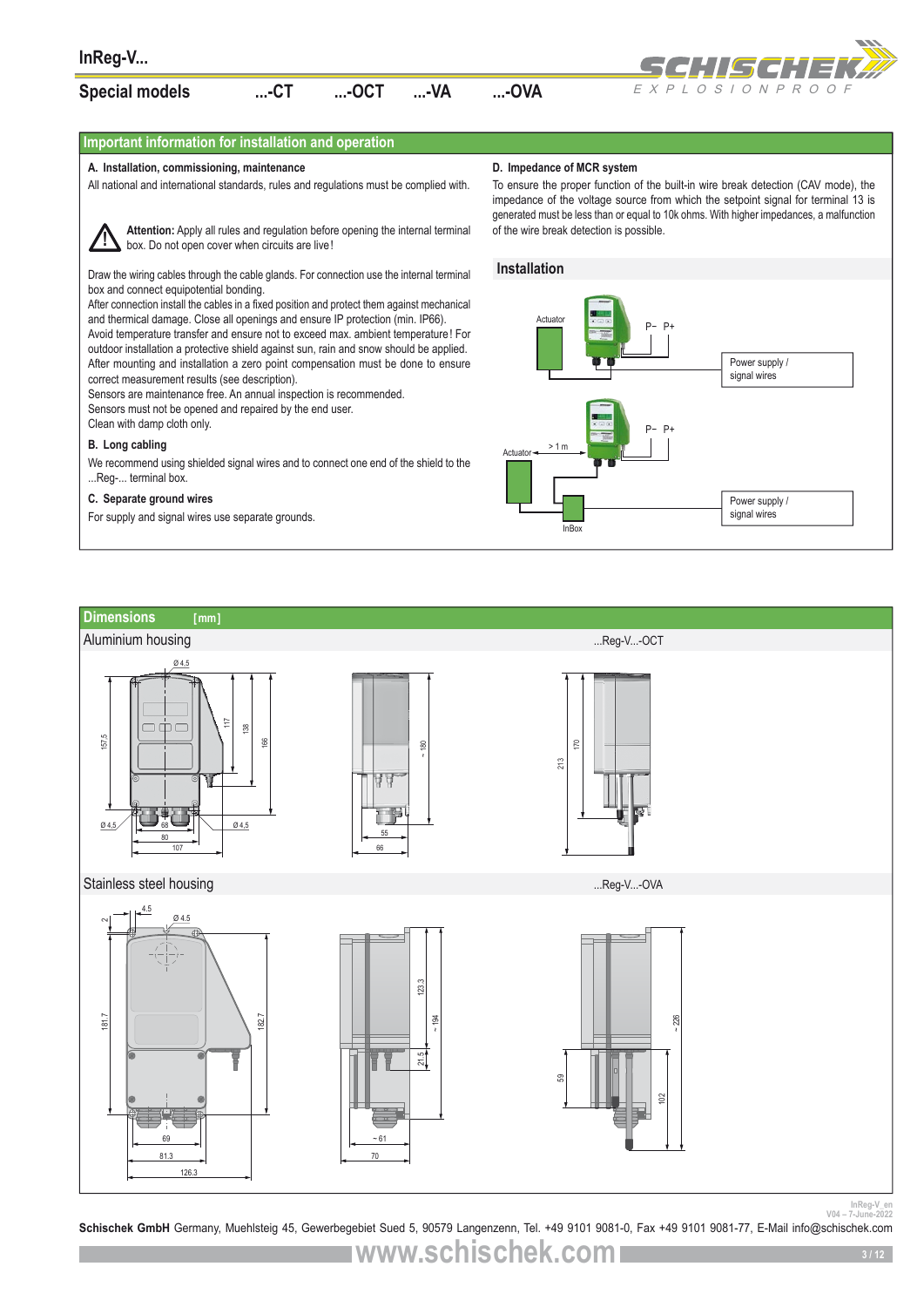

### **Important information for installation and operation**

#### **A. Installation, commissioning, maintenance**

All national and international standards, rules and regulations must be complied with.



**Attention:** Apply all rules and regulation before opening the internal terminal box. Do not open cover when circuits are live!

Draw the wiring cables through the cable glands. For connection use the internal terminal box and connect equipotential bonding.

After connection install the cables in a fixed position and protect them against mechanical and thermical damage. Close all openings and ensure IP protection (min. IP66). Avoid temperature transfer and ensure not to exceed max. ambient temperature! For outdoor installation a protective shield against sun, rain and snow should be applied. After mounting and installation a zero point compensation must be done to ensure correct measurement results (see description).

Sensors are maintenance free. An annual inspection is recommended. Sensors must not be opened and repaired by the end user.

Clean with damp cloth only.

#### **B. Long cabling**

We recommend using shielded signal wires and to connect one end of the shield to the ...Reg-... terminal box.

#### **C. Separate ground wires**

For supply and signal wires use separate grounds.

#### **D. Impedance of MCR system**

To ensure the proper function of the built-in wire break detection (CAV mode), the impedance of the voltage source from which the setpoint signal for terminal 13 is generated must be less than or equal to 10k ohms. With higher impedances, a malfunction of the wire break detection is possible.





InReg-V\_en<br>V04 - 7-June-2022<br>**Schischek GmbH** Germany, Muehlsteig 45, Gewerbegebiet Sued 5, 90579 Langenzenn, Tel. +49 9101 9081-0, Fax +49 9101 9081-77, E-Mail info@schischek.com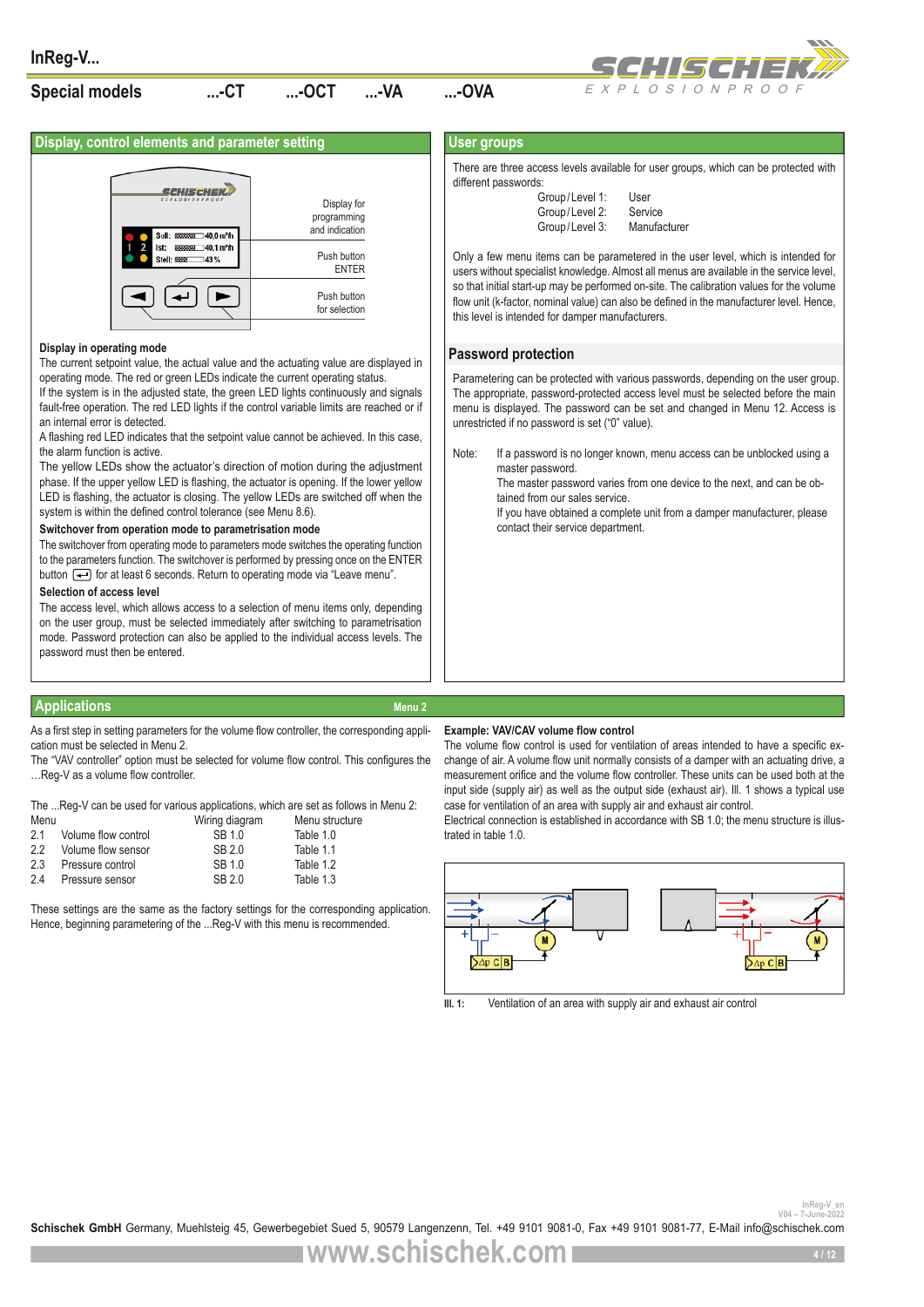

**Display, control elements and parameter setting** 



#### **Display in operating mode**

The current setpoint value, the actual value and the actuating value are displayed in operating mode. The red or green LEDs indicate the current operating status.

If the system is in the adjusted state, the green LED lights continuously and signals fault-free operation. The red LED lights if the control variable limits are reached or if an internal error is detected.

A flashing red LED indicates that the setpoint value cannot be achieved. In this case, the alarm function is active.

The yellow LEDs show the actuator's direction of motion during the adjustment phase. If the upper yellow LED is flashing, the actuator is opening. If the lower yellow LED is flashing, the actuator is closing. The yellow LEDs are switched off when the system is within the defined control tolerance (see Menu 8.6).

#### **Switchover from operation mode to parametrisation mode**

The switchover from operating mode to parameters mode switches the operating function to the parameters function. The switchover is performed by pressing once on the ENTER button  $\leftarrow$  for at least 6 seconds. Return to operating mode via "Leave menu".

#### **Selection of access level**

The access level, which allows access to a selection of menu items only, depending on the user group, must be selected immediately after switching to parametrisation mode. Password protection can also be applied to the individual access levels. The password must then be entered.

#### **Applications Menu 2** Applications Menu 2

As a first step in setting parameters for the volume flow controller, the corresponding application must be selected in Menu 2.

The "VAV controller" option must be selected for volume flow control. This configures the …Reg-V as a volume flow controller.

The ...Reg-V can be used for various applications, which are set as follows in Menu 2: Menu structure

| ivienu. |                     | vviring diagram | <b>Menu structur</b> |
|---------|---------------------|-----------------|----------------------|
| 21      | Volume flow control | SB 1.0          | Table 1.0            |
| 22      | Volume flow sensor  | SB20            | Table 1.1            |
| 2.3     | Pressure control    | SB 10           | Table 1.2            |
| 2.4     | Pressure sensor     | SB 2.0          | Table 1.3            |

These settings are the same as the factory settings for the corresponding application. Hence, beginning parametering of the ...Reg-V with this menu is recommended.

#### **User groups**

There are three access levels available for user groups, which can be protected with different passwords:

| Group/Level 1: | User         |
|----------------|--------------|
| Group/Level 2: | Service      |
| Group/Level 3: | Manufacturer |

Only a few menu items can be parametered in the user level, which is intended for users without specialist knowledge. Almost all menus are available in the service level, so that initial start-up may be performed on-site. The calibration values for the volume flow unit (k-factor, nominal value) can also be defined in the manufacturer level. Hence, this level is intended for damper manufacturers.

#### **Password protection**

Parametering can be protected with various passwords, depending on the user group. The appropriate, password-protected access level must be selected before the main menu is displayed. The password can be set and changed in Menu 12. Access is unrestricted if no password is set ("0" value).

Note: If a password is no longer known, menu access can be unblocked using a master password.

The master password varies from one device to the next, and can be obtained from our sales service.

If you have obtained a complete unit from a damper manufacturer, please contact their service department.

#### **Example: VAV/CAV volume flow control**

The volume flow control is used for ventilation of areas intended to have a specific exchange of air. A volume flow unit normally consists of a damper with an actuating drive, a measurement orifice and the volume flow controller. These units can be used both at the input side (supply air) as well as the output side (exhaust air). Ill. 1 shows a typical use case for ventilation of an area with supply air and exhaust air control.

Electrical connection is established in accordance with SB 1.0; the menu structure is illustrated in table 1.0.



**Ill. 1:** Ventilation of an area with supply air and exhaust air control

InReg-V\_er<br>2022-2014-7-June-2022<br>**Schischek GmbH** Germany, Muehlsteig 45, Gewerbegebiet Sued 5, 90579 Langenzenn, Tel. +49 9101 9081-0, Fax +49 9101 9081-77, E-Mail info@schischek.com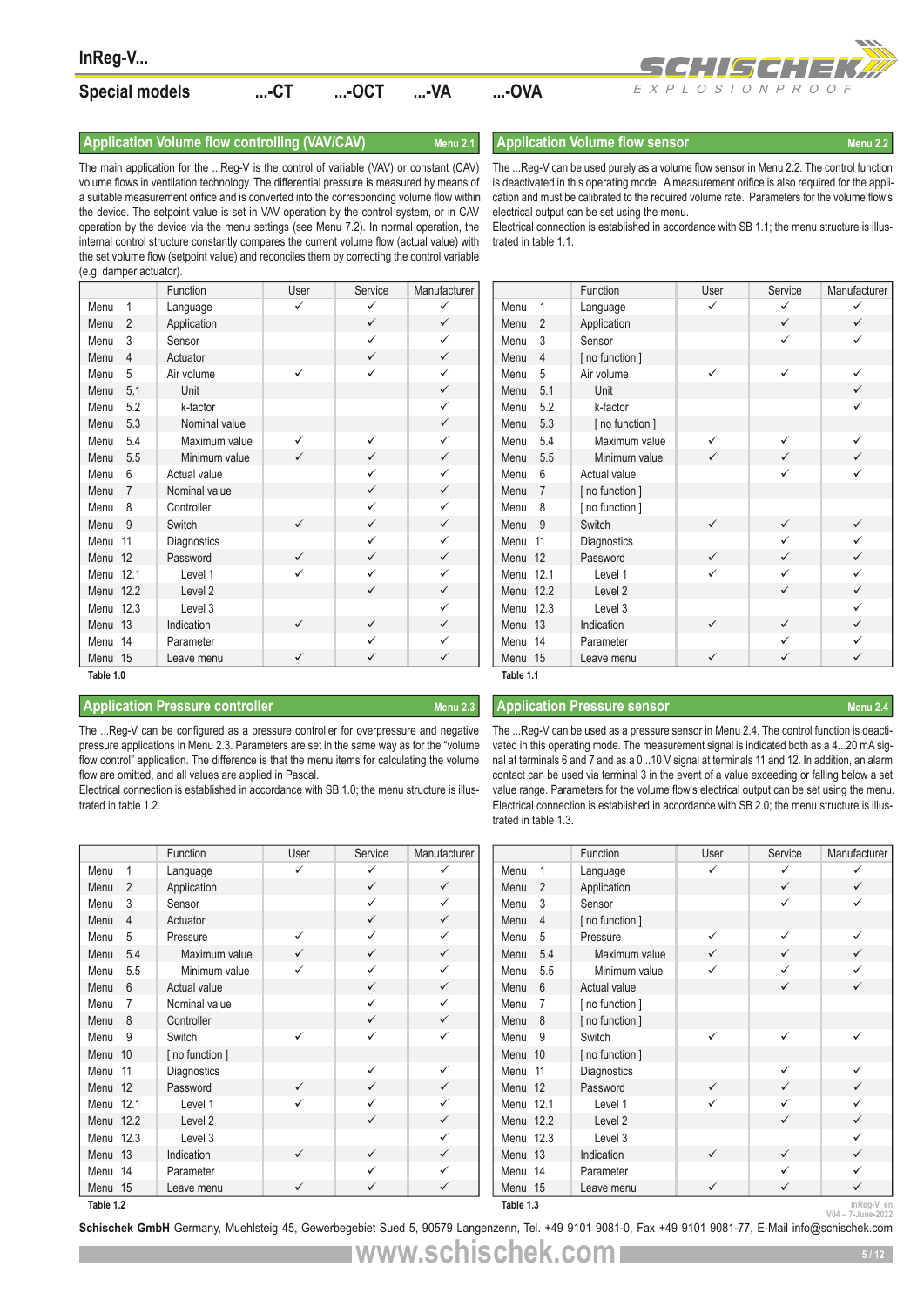

#### **Application Volume flow controlling (VAV/CAV)** Menu 2.1 **Application Volume flow sensor** Menu 2.2

| InReg-V                 |                                                                                                                                                                                                                                                                                                                                                                                                                                                                                                                                                                                                                                                                   |              |                              |                              |                        |                                                                                                                                                                                                                                                                                                                                                                                                                                                                                                                                                                                                                                                                        |              |                | SCHISCHEK <i>W</i>            |
|-------------------------|-------------------------------------------------------------------------------------------------------------------------------------------------------------------------------------------------------------------------------------------------------------------------------------------------------------------------------------------------------------------------------------------------------------------------------------------------------------------------------------------------------------------------------------------------------------------------------------------------------------------------------------------------------------------|--------------|------------------------------|------------------------------|------------------------|------------------------------------------------------------------------------------------------------------------------------------------------------------------------------------------------------------------------------------------------------------------------------------------------------------------------------------------------------------------------------------------------------------------------------------------------------------------------------------------------------------------------------------------------------------------------------------------------------------------------------------------------------------------------|--------------|----------------|-------------------------------|
| <b>Special models</b>   |                                                                                                                                                                                                                                                                                                                                                                                                                                                                                                                                                                                                                                                                   | $$ -CT       | $$ -OCT                      | $$ -VA                       | $$ -OVA                |                                                                                                                                                                                                                                                                                                                                                                                                                                                                                                                                                                                                                                                                        |              | EXPLOSIONPROOF |                               |
|                         | Application Volume flow controlling (VAV/CAV)                                                                                                                                                                                                                                                                                                                                                                                                                                                                                                                                                                                                                     |              |                              | Menu 2.1                     |                        | <b>Application Volume flow sensor</b>                                                                                                                                                                                                                                                                                                                                                                                                                                                                                                                                                                                                                                  |              |                | Menu 2.2                      |
| (e.g. damper actuator). | The main application for the Reg-V is the control of variable (VAV) or constant (CAV)<br>volume flows in ventilation technology. The differential pressure is measured by means of<br>a suitable measurement orifice and is converted into the corresponding volume flow within<br>the device. The setpoint value is set in VAV operation by the control system, or in CAV<br>operation by the device via the menu settings (see Menu 7.2). In normal operation, the<br>internal control structure constantly compares the current volume flow (actual value) with<br>the set volume flow (setpoint value) and reconciles them by correcting the control variable |              |                              |                              | trated in table 1.1.   | The  Reg-V can be used purely as a volume flow sensor in Menu 2.2. The control function<br>is deactivated in this operating mode. A measurement orifice is also required for the appli<br>cation and must be calibrated to the required volume rate. Parameters for the volume flow's<br>electrical output can be set using the menu.<br>Electrical connection is established in accordance with SB 1.1; the menu structure is illus                                                                                                                                                                                                                                   |              |                |                               |
|                         | Function                                                                                                                                                                                                                                                                                                                                                                                                                                                                                                                                                                                                                                                          | User         | Service                      | Manufacturer                 |                        | Function                                                                                                                                                                                                                                                                                                                                                                                                                                                                                                                                                                                                                                                               | User         | Service        | Manufacturer                  |
| Menu<br>$\mathbf{1}$    | Language                                                                                                                                                                                                                                                                                                                                                                                                                                                                                                                                                                                                                                                          | ✓            | $\checkmark$                 | ✓                            | Menu<br>$\overline{1}$ | Language                                                                                                                                                                                                                                                                                                                                                                                                                                                                                                                                                                                                                                                               | $\checkmark$ | $\checkmark$   | ✓                             |
| $\overline{2}$<br>Menu  | Application                                                                                                                                                                                                                                                                                                                                                                                                                                                                                                                                                                                                                                                       |              | ✓                            | ✓                            | Menu <sub>2</sub>      | Application                                                                                                                                                                                                                                                                                                                                                                                                                                                                                                                                                                                                                                                            |              | ✓              | $\checkmark$                  |
| 3<br>Menu               | Sensor                                                                                                                                                                                                                                                                                                                                                                                                                                                                                                                                                                                                                                                            |              | $\checkmark$                 | ✓                            | - 3<br>Menu            | Sensor                                                                                                                                                                                                                                                                                                                                                                                                                                                                                                                                                                                                                                                                 |              | ✓              | ✓                             |
| $\overline{4}$<br>Menu  | Actuator                                                                                                                                                                                                                                                                                                                                                                                                                                                                                                                                                                                                                                                          |              | $\checkmark$                 | $\checkmark$                 | $\overline{4}$<br>Menu | [no function]                                                                                                                                                                                                                                                                                                                                                                                                                                                                                                                                                                                                                                                          |              |                |                               |
| 5<br>Menu               | Air volume                                                                                                                                                                                                                                                                                                                                                                                                                                                                                                                                                                                                                                                        | ✓            | $\checkmark$                 | ✓                            | -5<br>Menu             | Air volume                                                                                                                                                                                                                                                                                                                                                                                                                                                                                                                                                                                                                                                             | ✓            | ✓              | ✓                             |
| 5.1<br>Menu             | Unit                                                                                                                                                                                                                                                                                                                                                                                                                                                                                                                                                                                                                                                              |              |                              | $\checkmark$                 | 5.1<br>Menu            | Unit                                                                                                                                                                                                                                                                                                                                                                                                                                                                                                                                                                                                                                                                   |              |                | $\checkmark$                  |
| 5.2<br>Menu             | k-factor                                                                                                                                                                                                                                                                                                                                                                                                                                                                                                                                                                                                                                                          |              |                              | ✓                            | 5.2<br>Menu            | k-factor                                                                                                                                                                                                                                                                                                                                                                                                                                                                                                                                                                                                                                                               |              |                | ✓                             |
| 5.3<br>Menu             | Nominal value                                                                                                                                                                                                                                                                                                                                                                                                                                                                                                                                                                                                                                                     |              |                              | $\checkmark$                 | 5.3<br>Menu            | [ no function ]                                                                                                                                                                                                                                                                                                                                                                                                                                                                                                                                                                                                                                                        |              |                |                               |
| 5.4<br>Menu             | Maximum value                                                                                                                                                                                                                                                                                                                                                                                                                                                                                                                                                                                                                                                     | ✓            | ✓                            | ✓                            | 5.4<br>Menu            | Maximum value                                                                                                                                                                                                                                                                                                                                                                                                                                                                                                                                                                                                                                                          | ✓            | ✓              | ✓                             |
| 5.5<br>Menu             | Minimum value                                                                                                                                                                                                                                                                                                                                                                                                                                                                                                                                                                                                                                                     | $\checkmark$ | $\checkmark$                 | $\checkmark$                 | 5.5<br>Menu            | Minimum value                                                                                                                                                                                                                                                                                                                                                                                                                                                                                                                                                                                                                                                          | $\checkmark$ | $\checkmark$   | $\checkmark$                  |
| 6<br>Menu               | Actual value                                                                                                                                                                                                                                                                                                                                                                                                                                                                                                                                                                                                                                                      |              | $\checkmark$                 | ✓                            | Menu<br>6              | Actual value                                                                                                                                                                                                                                                                                                                                                                                                                                                                                                                                                                                                                                                           |              | $\checkmark$   | ✓                             |
| 7<br>Menu               | Nominal value                                                                                                                                                                                                                                                                                                                                                                                                                                                                                                                                                                                                                                                     |              | $\checkmark$                 | ✓                            | Menu<br>$\overline{7}$ | [ no function ]                                                                                                                                                                                                                                                                                                                                                                                                                                                                                                                                                                                                                                                        |              |                |                               |
| 8<br>Menu               | Controller                                                                                                                                                                                                                                                                                                                                                                                                                                                                                                                                                                                                                                                        |              | ✓                            | ✓                            | - 8<br>Menu            | [ no function ]                                                                                                                                                                                                                                                                                                                                                                                                                                                                                                                                                                                                                                                        |              |                |                               |
| Menu<br>- 9             | Switch                                                                                                                                                                                                                                                                                                                                                                                                                                                                                                                                                                                                                                                            | ✓            | $\checkmark$                 | $\checkmark$                 | Menu 9                 | Switch                                                                                                                                                                                                                                                                                                                                                                                                                                                                                                                                                                                                                                                                 | ✓            | $\checkmark$   | ✓                             |
| Menu 11                 | Diagnostics                                                                                                                                                                                                                                                                                                                                                                                                                                                                                                                                                                                                                                                       |              | ✓                            | ✓                            | Menu 11                | Diagnostics                                                                                                                                                                                                                                                                                                                                                                                                                                                                                                                                                                                                                                                            |              | ✓              | ✓                             |
| Menu 12                 | Password                                                                                                                                                                                                                                                                                                                                                                                                                                                                                                                                                                                                                                                          | ✓            | $\checkmark$                 | $\checkmark$                 | Menu 12                | Password                                                                                                                                                                                                                                                                                                                                                                                                                                                                                                                                                                                                                                                               | ✓            | ✓              | $\checkmark$                  |
| Menu 12.1               | Level 1                                                                                                                                                                                                                                                                                                                                                                                                                                                                                                                                                                                                                                                           | ✓            | $\checkmark$                 | ✓                            | Menu 12.1              | Level 1                                                                                                                                                                                                                                                                                                                                                                                                                                                                                                                                                                                                                                                                | ✓            | $\checkmark$   | $\checkmark$                  |
| Menu 12.2               | Level 2                                                                                                                                                                                                                                                                                                                                                                                                                                                                                                                                                                                                                                                           |              | $\checkmark$                 | $\checkmark$                 | Menu 12.2              | Level 2                                                                                                                                                                                                                                                                                                                                                                                                                                                                                                                                                                                                                                                                |              | $\checkmark$   | ✓                             |
| Menu 12.3               | Level 3                                                                                                                                                                                                                                                                                                                                                                                                                                                                                                                                                                                                                                                           |              |                              | ✓                            | Menu 12.3              | Level 3                                                                                                                                                                                                                                                                                                                                                                                                                                                                                                                                                                                                                                                                |              |                | ✓                             |
| Menu 13                 | Indication                                                                                                                                                                                                                                                                                                                                                                                                                                                                                                                                                                                                                                                        | ✓            | $\checkmark$                 | $\checkmark$                 | Menu 13                | Indication                                                                                                                                                                                                                                                                                                                                                                                                                                                                                                                                                                                                                                                             | ✓            | ✓              | $\checkmark$                  |
| Menu 14                 | Parameter                                                                                                                                                                                                                                                                                                                                                                                                                                                                                                                                                                                                                                                         |              | $\checkmark$                 | $\checkmark$                 | Menu 14                | Parameter                                                                                                                                                                                                                                                                                                                                                                                                                                                                                                                                                                                                                                                              |              | $\checkmark$   | ✓                             |
| Menu 15                 | Leave menu                                                                                                                                                                                                                                                                                                                                                                                                                                                                                                                                                                                                                                                        | ✓            | $\checkmark$                 | $\checkmark$                 | Menu 15                | Leave menu                                                                                                                                                                                                                                                                                                                                                                                                                                                                                                                                                                                                                                                             | $\checkmark$ | $\checkmark$   | ✓                             |
| Table 1.0               |                                                                                                                                                                                                                                                                                                                                                                                                                                                                                                                                                                                                                                                                   |              |                              |                              | Table 1.1              |                                                                                                                                                                                                                                                                                                                                                                                                                                                                                                                                                                                                                                                                        |              |                |                               |
|                         | <b>Application Pressure controller</b>                                                                                                                                                                                                                                                                                                                                                                                                                                                                                                                                                                                                                            |              |                              | Menu 2.3                     |                        | <b>Application Pressure sensor</b>                                                                                                                                                                                                                                                                                                                                                                                                                                                                                                                                                                                                                                     |              |                | Menu 2.4                      |
| trated in table 1.2.    | The Reg-V can be configured as a pressure controller for overpressure and negative<br>flow control" application. The difference is that the menu items for calculating the volume<br>flow are omitted, and all values are applied in Pascal.<br>Electrical connection is established in accordance with SB 1.0; the menu structure is illus-                                                                                                                                                                                                                                                                                                                      |              |                              |                              | trated in table 1.3.   | The  Reg-V can be used as a pressure sensor in Menu 2.4. The control function is deacti-<br>pressure applications in Menu 2.3. Parameters are set in the same way as for the "volume vated in this operating mode. The measurement signal is indicated both as a 420 mA sig<br>nal at terminals 6 and 7 and as a 010 V signal at terminals 11 and 12. In addition, an alarm<br>contact can be used via terminal 3 in the event of a value exceeding or falling below a se<br>value range. Parameters for the volume flow's electrical output can be set using the menu<br>Electrical connection is established in accordance with SB 2.0; the menu structure is illus- |              |                |                               |
|                         | Function                                                                                                                                                                                                                                                                                                                                                                                                                                                                                                                                                                                                                                                          | User         | Service                      | Manufacturer                 |                        | Function                                                                                                                                                                                                                                                                                                                                                                                                                                                                                                                                                                                                                                                               | User         | Service        | Manufacturer                  |
| Menu<br>-1              | Language                                                                                                                                                                                                                                                                                                                                                                                                                                                                                                                                                                                                                                                          | $\checkmark$ | $\checkmark$                 | ✓                            | Menu<br>$\overline{1}$ | Language                                                                                                                                                                                                                                                                                                                                                                                                                                                                                                                                                                                                                                                               | $\checkmark$ | $\checkmark$   | ✓                             |
| Menu<br>2               | Application                                                                                                                                                                                                                                                                                                                                                                                                                                                                                                                                                                                                                                                       |              | $\checkmark$                 | $\checkmark$                 | Menu <sub>2</sub>      | Application                                                                                                                                                                                                                                                                                                                                                                                                                                                                                                                                                                                                                                                            |              | $\checkmark$   | ✓                             |
| 3<br>Menu               | Sensor                                                                                                                                                                                                                                                                                                                                                                                                                                                                                                                                                                                                                                                            |              | $\checkmark$                 | ✓                            | - 3<br>Menu            | Sensor                                                                                                                                                                                                                                                                                                                                                                                                                                                                                                                                                                                                                                                                 |              | ✓              | ✓                             |
| Menu<br>4               | Actuator                                                                                                                                                                                                                                                                                                                                                                                                                                                                                                                                                                                                                                                          |              | $\checkmark$                 | $\checkmark$                 | $\overline{4}$<br>Menu | [no function]                                                                                                                                                                                                                                                                                                                                                                                                                                                                                                                                                                                                                                                          |              |                |                               |
| Menu<br>5               | Pressure                                                                                                                                                                                                                                                                                                                                                                                                                                                                                                                                                                                                                                                          | ✓            | $\checkmark$                 | ✓                            | Menu<br>-5             | Pressure                                                                                                                                                                                                                                                                                                                                                                                                                                                                                                                                                                                                                                                               | ✓            | ✓              | ✓                             |
| 5.4<br>Menu             | Maximum value                                                                                                                                                                                                                                                                                                                                                                                                                                                                                                                                                                                                                                                     | ✓            | $\checkmark$                 | ✓                            | Menu<br>5.4            | Maximum value                                                                                                                                                                                                                                                                                                                                                                                                                                                                                                                                                                                                                                                          | ✓            | $\checkmark$   | ✓                             |
| 5.5<br>Menu             | Minimum value                                                                                                                                                                                                                                                                                                                                                                                                                                                                                                                                                                                                                                                     | ✓            | $\checkmark$                 | ✓                            | 5.5<br>Menu            | Minimum value                                                                                                                                                                                                                                                                                                                                                                                                                                                                                                                                                                                                                                                          | ✓            | ✓              | ✓                             |
| 6<br>Menu               | Actual value                                                                                                                                                                                                                                                                                                                                                                                                                                                                                                                                                                                                                                                      |              | $\checkmark$                 | $\checkmark$                 | 6<br>Menu              | Actual value                                                                                                                                                                                                                                                                                                                                                                                                                                                                                                                                                                                                                                                           |              | $\checkmark$   | $\checkmark$                  |
| Menu<br>7               | Nominal value                                                                                                                                                                                                                                                                                                                                                                                                                                                                                                                                                                                                                                                     |              | $\checkmark$                 | $\checkmark$                 | Menu<br>$\overline{7}$ | [ no function ]                                                                                                                                                                                                                                                                                                                                                                                                                                                                                                                                                                                                                                                        |              |                |                               |
| Menu<br>8               | Controller                                                                                                                                                                                                                                                                                                                                                                                                                                                                                                                                                                                                                                                        |              | $\checkmark$                 | $\checkmark$                 | Menu<br>- 8            | [ no function ]                                                                                                                                                                                                                                                                                                                                                                                                                                                                                                                                                                                                                                                        |              |                |                               |
| Menu<br>9               | Switch                                                                                                                                                                                                                                                                                                                                                                                                                                                                                                                                                                                                                                                            | ✓            | $\checkmark$                 | ✓                            | Menu<br>- 9            | Switch                                                                                                                                                                                                                                                                                                                                                                                                                                                                                                                                                                                                                                                                 | $\checkmark$ | $\checkmark$   | ✓                             |
| Menu 10                 | [ no function ]                                                                                                                                                                                                                                                                                                                                                                                                                                                                                                                                                                                                                                                   |              |                              |                              | Menu 10                | [no function]                                                                                                                                                                                                                                                                                                                                                                                                                                                                                                                                                                                                                                                          |              |                |                               |
| Menu 11                 | Diagnostics                                                                                                                                                                                                                                                                                                                                                                                                                                                                                                                                                                                                                                                       |              | $\checkmark$                 | $\checkmark$                 | Menu 11                | Diagnostics                                                                                                                                                                                                                                                                                                                                                                                                                                                                                                                                                                                                                                                            |              | $\checkmark$   | ✓                             |
| Menu 12                 | Password                                                                                                                                                                                                                                                                                                                                                                                                                                                                                                                                                                                                                                                          | ✓<br>✓       | $\checkmark$                 | ✓                            | Menu 12                | Password                                                                                                                                                                                                                                                                                                                                                                                                                                                                                                                                                                                                                                                               | ✓            | ✓              | ✓<br>✓                        |
| Menu 12.1               | Level 1                                                                                                                                                                                                                                                                                                                                                                                                                                                                                                                                                                                                                                                           |              | $\checkmark$<br>$\checkmark$ | ✓<br>$\checkmark$            | Menu 12.1              | Level 1                                                                                                                                                                                                                                                                                                                                                                                                                                                                                                                                                                                                                                                                |              | ✓<br>✓         | ✓                             |
| Menu 12.2               | Level 2                                                                                                                                                                                                                                                                                                                                                                                                                                                                                                                                                                                                                                                           |              |                              | ✓                            | Menu 12.2              | Level 2                                                                                                                                                                                                                                                                                                                                                                                                                                                                                                                                                                                                                                                                |              |                | ✓                             |
| Menu 12.3               | Level 3                                                                                                                                                                                                                                                                                                                                                                                                                                                                                                                                                                                                                                                           |              | $\checkmark$                 | $\checkmark$                 | Menu 12.3              | Level 3                                                                                                                                                                                                                                                                                                                                                                                                                                                                                                                                                                                                                                                                |              | $\checkmark$   | ✓                             |
| Menu 13                 | Indication                                                                                                                                                                                                                                                                                                                                                                                                                                                                                                                                                                                                                                                        | ✓            | ✓                            |                              | Menu 13                | Indication                                                                                                                                                                                                                                                                                                                                                                                                                                                                                                                                                                                                                                                             |              | $\checkmark$   | ✓                             |
| Menu 14                 | Parameter                                                                                                                                                                                                                                                                                                                                                                                                                                                                                                                                                                                                                                                         | ✓            | $\checkmark$                 | $\checkmark$<br>$\checkmark$ | Menu 14                | Parameter                                                                                                                                                                                                                                                                                                                                                                                                                                                                                                                                                                                                                                                              | ✓            | $\checkmark$   | ✓                             |
| Menu 15                 | Leave menu                                                                                                                                                                                                                                                                                                                                                                                                                                                                                                                                                                                                                                                        |              |                              |                              | Menu 15                | Leave menu                                                                                                                                                                                                                                                                                                                                                                                                                                                                                                                                                                                                                                                             |              |                |                               |
| Table 1.2               |                                                                                                                                                                                                                                                                                                                                                                                                                                                                                                                                                                                                                                                                   |              |                              |                              | Table 1.3              |                                                                                                                                                                                                                                                                                                                                                                                                                                                                                                                                                                                                                                                                        |              |                | InReg-V_er<br>V04-7-June-2022 |

### **Application Pressure controller Menu 2.3** Menu 2.3 **Application Pressure sensor** Menu 2.4

|           |                | Function        | User         | Service      | Manufacturer |
|-----------|----------------|-----------------|--------------|--------------|--------------|
| Menu      | 1              | Language        | ✓            | ✓            | ✓            |
| Menu      | $\overline{2}$ | Application     |              | $\checkmark$ | $\checkmark$ |
| Menu      | 3              | Sensor          |              | $\checkmark$ | $\checkmark$ |
| Menu      | $\overline{4}$ | Actuator        |              | $\checkmark$ | $\checkmark$ |
| Menu      | 5              | Pressure        | ✓            | ✓            | $\checkmark$ |
| Menu      | 5.4            | Maximum value   | ✓            | $\checkmark$ | $\checkmark$ |
| Menu      | 5.5            | Minimum value   | $\checkmark$ | ✓            | ✓            |
| Menu      | 6              | Actual value    |              | $\checkmark$ | $\checkmark$ |
| Menu      | 7              | Nominal value   |              | $\checkmark$ | ✓            |
| Menu      | 8              | Controller      |              | $\checkmark$ | $\checkmark$ |
| Menu      | 9              | Switch          | $\checkmark$ | $\checkmark$ | ✓            |
| Menu      | 10             | [ no function ] |              |              |              |
| Menu      | 11             | Diagnostics     |              | ✓            | ✓            |
| Menu      | 12             | Password        | $\checkmark$ | $\checkmark$ | $\checkmark$ |
| Menu      | 12.1           | Level 1         | $\checkmark$ | ✓            | ✓            |
| Menu 12.2 |                | Level 2         |              | $\checkmark$ | $\checkmark$ |
| Menu      | 12.3           | Level 3         |              |              | ✓            |
| Menu      | 13             | Indication      | $\checkmark$ | $\checkmark$ | $\checkmark$ |
| Menu 14   |                | Parameter       |              | ✓            | ✓            |
| Menu 15   |                | Leave menu      | ✓            | ✓            | ✓            |
| Tahle 12  |                |                 |              |              |              |

|           |                | Function           | User         | Service      | Manufacturer |
|-----------|----------------|--------------------|--------------|--------------|--------------|
| Menu      | 1              | Language           |              | ✓            | ✓            |
| Menu      | $\mathfrak{D}$ | Application        |              | $\checkmark$ | ✓            |
| Menu      | 3              | Sensor             |              | $\checkmark$ | ✓            |
| Menu      | 4              | [ no function ]    |              |              |              |
| Menu      | 5              | Pressure           | $\checkmark$ | ✓            | ✓            |
| Menu      | 5.4            | Maximum value      | $\checkmark$ | ✓            | ✓            |
| Menu      | 5.5            | Minimum value      | ✓            | ✓            | ✓            |
| Menu      | 6              | Actual value       |              | $\checkmark$ | ✓            |
| Menu      | 7              | [ no function ]    |              |              |              |
| Menu      | 8              | [ no function ]    |              |              |              |
| Menu      | 9              | Switch             | $\checkmark$ | $\checkmark$ | ✓            |
| Menu      | 10             | [ no function ]    |              |              |              |
| Menu      | 11             | Diagnostics        |              | ✓            | ✓            |
| Menu      | 12             | Password           | $\checkmark$ | $\checkmark$ | ✓            |
| Menu      | 12.1           | Level 1            | ✓            | ✓            | ✓            |
| Menu 12.2 |                | Level <sub>2</sub> |              | $\checkmark$ | ✓            |
| Menu 12.3 |                | Level 3            |              |              | ✓            |
| Menu      | 13             | Indication         | $\checkmark$ | $\checkmark$ | ✓            |
| Menu      | 14             | Parameter          |              | ✓            | ✓            |
| Menu 15   |                | Leave menu         | ✓            | ✓            | ✓            |
| Table 13  |                |                    |              |              | InRea-V en   |

InReg-V\_en<br>2022-1une-2022<br>**Schischek GmbH** Germany, Muehlsteig 45, Gewerbegebiet Sued 5, 90579 Langenzenn, Tel. +49 9101 9081-0, Fax +49 9101 9081-77, E-Mail info@schischek.com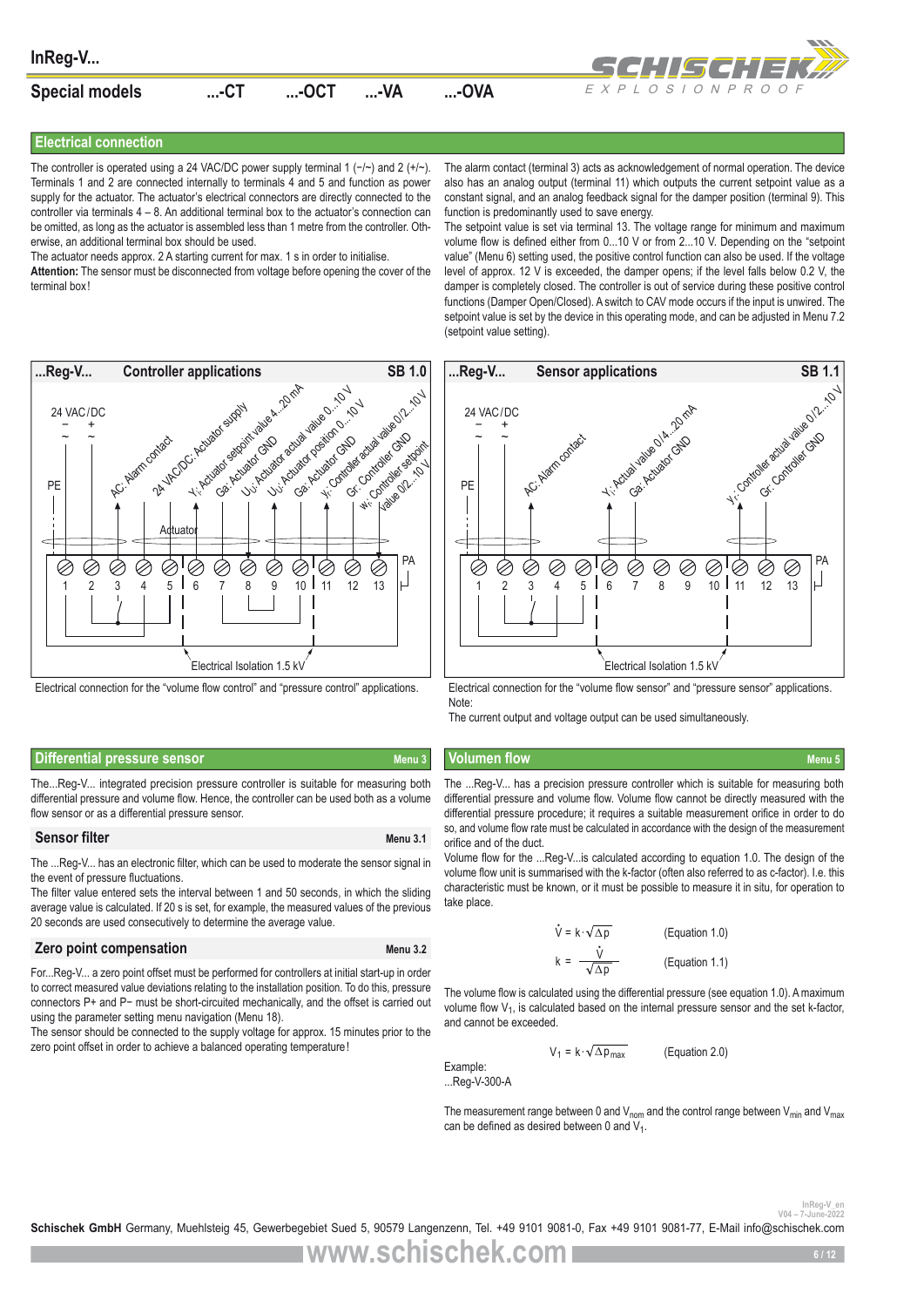

#### **Electrical connection**

The controller is operated using a 24 VAC/DC power supply terminal 1 (-/~) and 2 (+/~). Terminals 1 and 2 are connected internally to terminals 4 and 5 and function as power supply for the actuator. The actuator's electrical connectors are directly connected to the controller via terminals  $4 - 8$ . An additional terminal box to the actuator's connection can be omitted, as long as the actuator is assembled less than 1 metre from the controller. Otherwise, an additional terminal box should be used.

The actuator needs approx. 2 A starting current for max. 1 s in order to initialise.

**Attention:** The sensor must be disconnected from voltage before opening the cover of the terminal box!



Electrical connection for the "volume flow control" and "pressure control" applications.

#### The alarm contact (terminal 3) acts as acknowledgement of normal operation. The device also has an analog output (terminal 11) which outputs the current setpoint value as a constant signal, and an analog feedback signal for the damper position (terminal 9). This function is predominantly used to save energy.

The setpoint value is set via terminal 13. The voltage range for minimum and maximum volume flow is defined either from 0...10 V or from 2...10 V. Depending on the "setpoint value" (Menu 6) setting used, the positive control function can also be used. If the voltage level of approx. 12 V is exceeded, the damper opens; if the level falls below 0.2 V, the damper is completely closed. The controller is out of service during these positive control functions (Damper Open/Closed). A switch to CAV mode occurs if the input is unwired. The setpoint value is set by the device in this operating mode, and can be adjusted in Menu 7.2 (setpoint value setting).



Electrical connection for the "volume flow sensor" and "pressure sensor" applications. Note:

The current output and voltage output can be used simultaneously.

#### **Differential pressure sensor Menu 3 Menu 3 Volumen flow Menu 3 Volumen flow** Menu 5

The...Reg-V... integrated precision pressure controller is suitable for measuring both differential pressure and volume flow. Hence, the controller can be used both as a volume flow sensor or as a differential pressure sensor.

#### **Sensor filter** Menu 3.1

The ...Reg-V... has an electronic filter, which can be used to moderate the sensor signal in the event of pressure fluctuations.

The filter value entered sets the interval between 1 and 50 seconds, in which the sliding average value is calculated. If 20 s is set, for example, the measured values of the previous 20 seconds are used consecutively to determine the average value.

#### **Zero point compensation** Menu 3.2

For...Reg-V... a zero point offset must be performed for controllers at initial start-up in order to correct measured value deviations relating to the installation position. To do this, pressure connectors P+ and P− must be short-circuited mechanically, and the offset is carried out using the parameter setting menu navigation (Menu 18).

The sensor should be connected to the supply voltage for approx. 15 minutes prior to the zero point offset in order to achieve a balanced operating temperature!

The ...Reg-V... has a precision pressure controller which is suitable for measuring both differential pressure and volume flow. Volume flow cannot be directly measured with the differential pressure procedure; it requires a suitable measurement orifice in order to do so, and volume flow rate must be calculated in accordance with the design of the measurement orifice and of the duct.

Volume flow for the ...Reg-V...is calculated according to equation 1.0. The design of the volume flow unit is summarised with the k-factor (often also referred to as c-factor). I.e. this characteristic must be known, or it must be possible to measure it in situ, for operation to take place.

$$
\dot{V} = k \cdot \sqrt{\Delta p}
$$
 (Equation 1.0)  

$$
k = \frac{\dot{V}}{\sqrt{\Delta p}}
$$
 (Equation 1.1)

The volume flow is calculated using the differential pressure (see equation 1.0). A maximum volume flow V<sub>1</sub>, is calculated based on the internal pressure sensor and the set k-factor, and cannot be exceeded.

> $V_1 = k \cdot \sqrt{\Delta p_{max}}$ (Equation 2.0)

Example: ...Reg-V-300-A

The measurement range between 0 and  $V_{\text{nom}}$  and the control range between  $V_{\text{min}}$  and  $V_{\text{max}}$ can be defined as desired between 0 and  $V_1$ .

InReg-V\_er<br>2022-2014-7-Aune-2022<br>**Schischek GmbH** Germany, Muehlsteig 45, Gewerbegebiet Sued 5, 90579 Langenzenn, Tel. +49 9101 9081-0, Fax +49 9101 9081-77, E-Mail info@schischek.com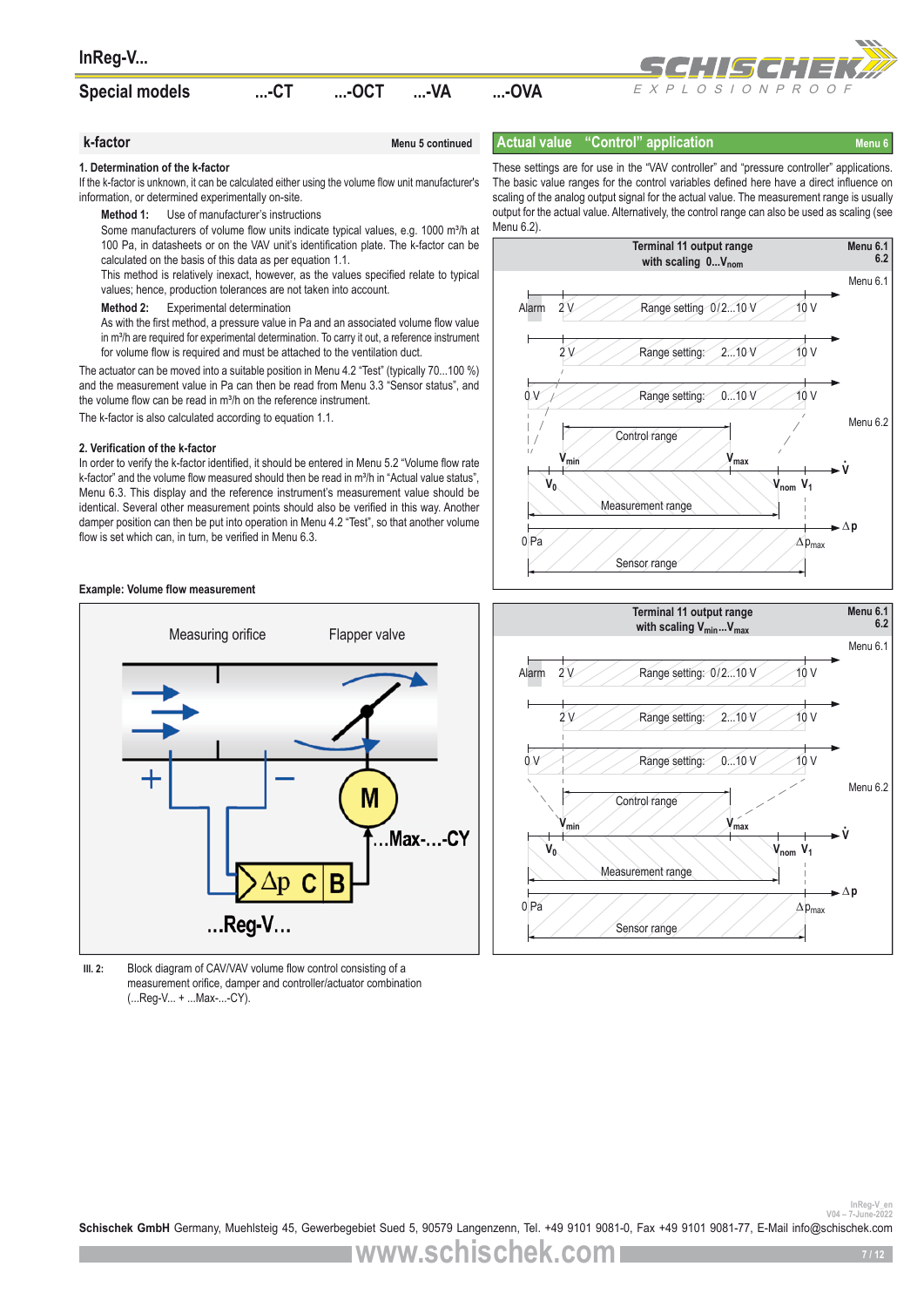| <b>Special models</b> | $$ - $CT$ | $$ -OCT | …-VA | -OVA |  |
|-----------------------|-----------|---------|------|------|--|
|                       |           |         |      |      |  |



## **k-factor** Menu 5 continued

#### **Actual value "Control" application Menu 6** Menu 6

#### **1. Determination of the k-factor**

If the k-factor is unknown, it can be calculated either using the volume flow unit manufacturer's information, or determined experimentally on-site.

**Method 1:** Use of manufacturer's instructions

Some manufacturers of volume flow units indicate typical values, e.g. 1000 m<sup>3</sup>/h at 100 Pa, in datasheets or on the VAV unit's identification plate. The k-factor can be calculated on the basis of this data as per equation 1.1.

This method is relatively inexact, however, as the values specified relate to typical values; hence, production tolerances are not taken into account.

**Method 2:** Experimental determination

As with the first method, a pressure value in Pa and an associated volume flow value in m<sup>3</sup>/h are required for experimental determination. To carry it out, a reference instrument for volume flow is required and must be attached to the ventilation duct.

The actuator can be moved into a suitable position in Menu 4.2 "Test" (typically 70...100 %) and the measurement value in Pa can then be read from Menu 3.3 "Sensor status", and the volume flow can be read in m<sup>3</sup>/h on the reference instrument.

The k-factor is also calculated according to equation 1.1.

#### **2. Verification of the k-factor**

In order to verify the k-factor identified, it should be entered in Menu 5.2 "Volume flow rate k-factor" and the volume flow measured should then be read in m<sup>3</sup>/h in "Actual value status", Menu 6.3. This display and the reference instrument's measurement value should be identical. Several other measurement points should also be verified in this way. Another damper position can then be put into operation in Menu 4.2 "Test", so that another volume flow is set which can, in turn, be verified in Menu 6.3.

#### **Example: Volume flow measurement**



**Ill. 2:** Block diagram of CAV/VAV volume flow control consisting of a measurement orifice, damper and controller/actuator combination (...Reg-V... + ...Max-...-CY).

These settings are for use in the "VAV controller" and "pressure controller" applications. The basic value ranges for the control variables defined here have a direct influence on scaling of the analog output signal for the actual value. The measurement range is usually output for the actual value. Alternatively, the control range can also be used as scaling (see Menu 6.2)





InReg-V\_en<br>2022-yune-2022<br>**Schischek GmbH** Germany, Muehlsteig 45, Gewerbegebiet Sued 5, 90579 Langenzenn, Tel. +49 9101 9081-0, Fax +49 9101 9081-77, E-Mail info@schischek.com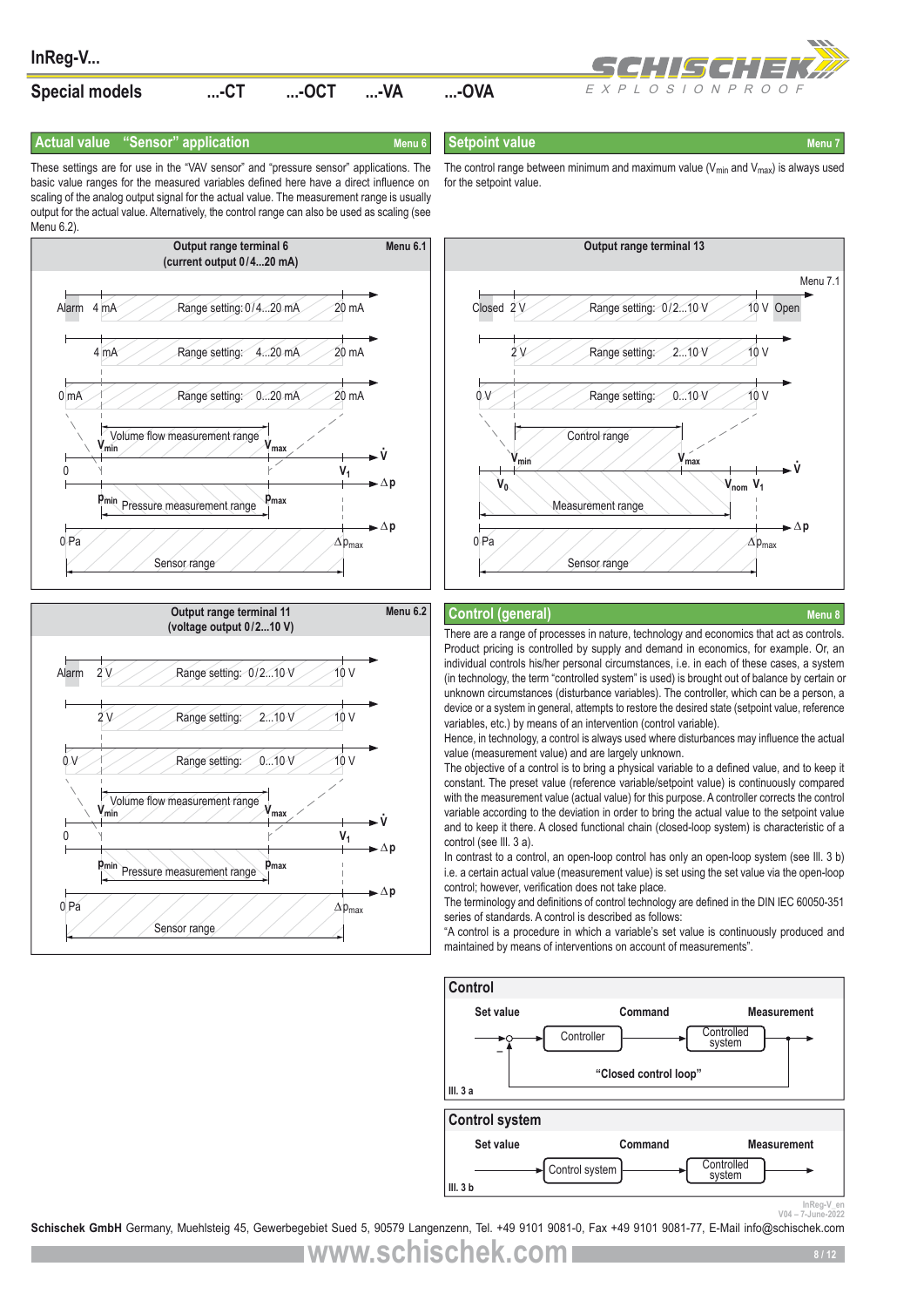

#### **Actual value "Sensor" application Menu 6** Menu 6

**Setpoint value** Menu 7 and 2009 Menu 7

for the setpoint value.

These settings are for use in the "VAV sensor" and "pressure sensor" applications. The basic value ranges for the measured variables defined here have a direct influence on scaling of the analog output signal for the actual value. The measurement range is usually output for the actual value. Alternatively, the control range can also be used as scaling (see Menu 6.2)





 $V<sub>4</sub>$ **Vmin Vmax V0** 0/4...20 mA  $\longrightarrow$  20 mA  $\longrightarrow$  Closed 2 V  $\longrightarrow$  Range setting: 0/2...10 V  $\longrightarrow$  10 V Open 4...20 mA 20 mA 10 V 2V Range setting: 2...10 V 10 V 0...20 mA 20 mA 0V Range setting: 0...10 V 10 V  $V$ **w**<sub>min</sub>  $V$ *w***<sub>min</sub>**  $V$ **<b>***V*<sub>max</sub>  $\rightarrow$ **v ∆p ∆p** ∆pmax ∆pmax **Output range terminal 13** Control range Measurement range Sensor range Menu 71 **Vnom**

The control range between minimum and maximum value ( $V_{min}$  and  $V_{max}$ ) is always used

#### **Control (general)**

There are a range of processes in nature, technology and economics that act as controls. Product pricing is controlled by supply and demand in economics, for example. Or, an individual controls his/her personal circumstances, i.e. in each of these cases, a system (in technology, the term "controlled system" is used) is brought out of balance by certain or unknown circumstances (disturbance variables). The controller, which can be a person, a device or a system in general, attempts to restore the desired state (setpoint value, reference variables, etc.) by means of an intervention (control variable).

Hence, in technology, a control is always used where disturbances may influence the actual value (measurement value) and are largely unknown.

The objective of a control is to bring a physical variable to a defined value, and to keep it constant. The preset value (reference variable/setpoint value) is continuously compared with the measurement value (actual value) for this purpose. A controller corrects the control variable according to the deviation in order to bring the actual value to the setpoint value and to keep it there. A closed functional chain (closed-loop system) is characteristic of a control (see Ill. 3 a).

In contrast to a control, an open-loop control has only an open-loop system (see III. 3 b) i.e. a certain actual value (measurement value) is set using the set value via the open-loop control; however, verification does not take place.

The terminology and definitions of control technology are defined in the DIN IEC 60050-351 series of standards. A control is described as follows:

"A control is a procedure in which a variable's set value is continuously produced and maintained by means of interventions on account of measurements".



InReg-V\_en<br>2022-yune-2022<br>**Schischek GmbH** Germany, Muehlsteig 45, Gewerbegebiet Sued 5, 90579 Langenzenn, Tel. +49 9101 9081-0, Fax +49 9101 9081-77, E-Mail info@schischek.com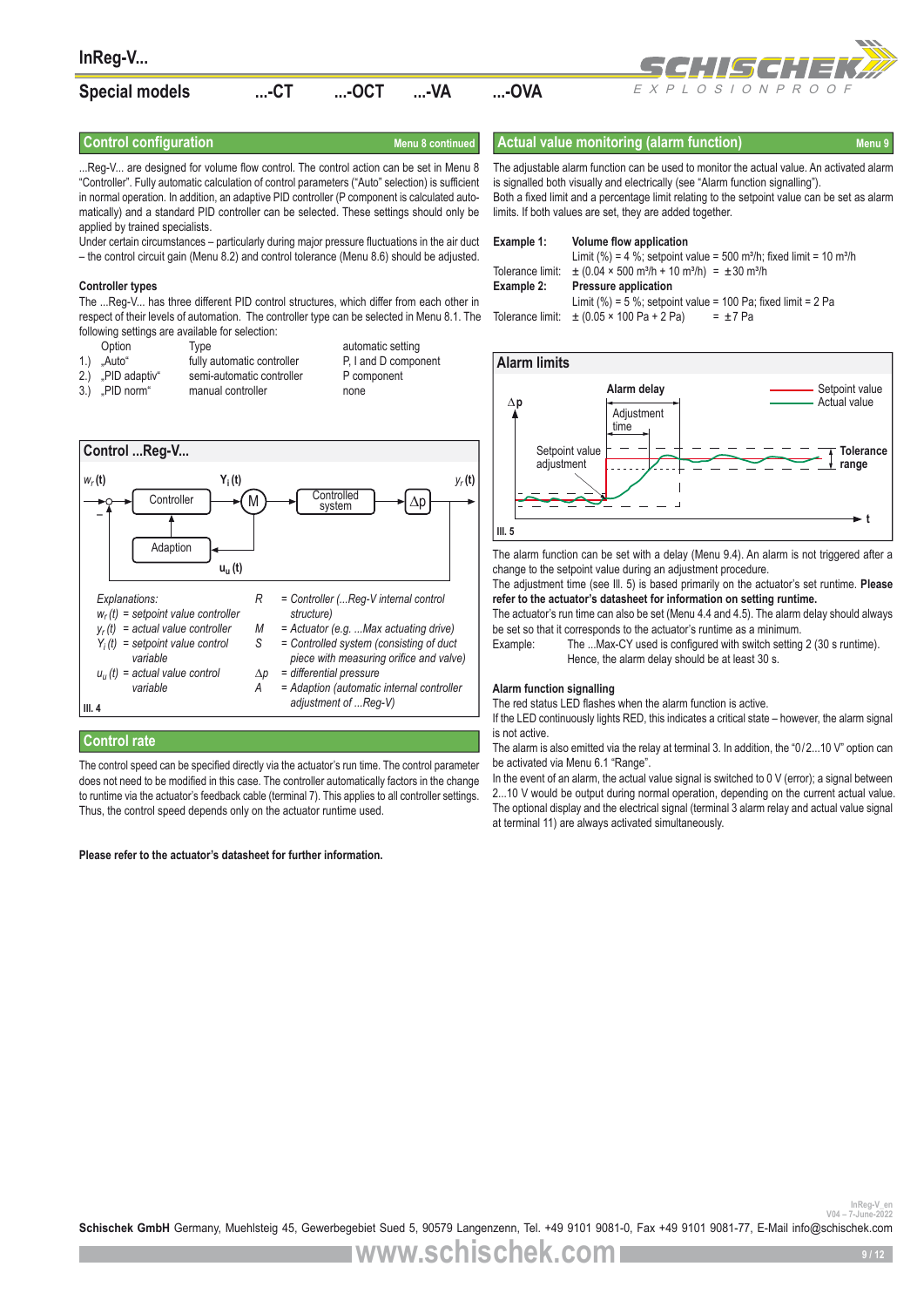

...Reg-V... are designed for volume flow control. The control action can be set in Menu 8 "Controller". Fully automatic calculation of control parameters ("Auto" selection) is sufficient in normal operation. In addition, an adaptive PID controller (P component is calculated automatically) and a standard PID controller can be selected. These settings should only be applied by trained specialists.

Under certain circumstances – particularly during major pressure fluctuations in the air duct – the control circuit gain (Menu 8.2) and control tolerance (Menu 8.6) should be adjusted.

#### **Controller types**

The ...Reg-V... has three different PID control structures, which differ from each other in respect of their levels of automation. The controller type can be selected in Menu 8.1. The following settings are available for selection:

Option Type automatic setting<br>
Controller Fully automatic controller P, I and D component 1.) "Auto" fully automatic controller<br>2.) PID adaptiv" semi-automatic controlle 2.) .PID adaptiv" semi-automatic controller P component 3.) "PID norm" manual controller none



### **Control rate**

The control speed can be specified directly via the actuator's run time. The control parameter does not need to be modified in this case. The controller automatically factors in the change to runtime via the actuator's feedback cable (terminal 7). This applies to all controller settings. Thus, the control speed depends only on the actuator runtime used.

#### **Please refer to the actuator's datasheet for further information.**

**Control configuration** Menu 8 continued **Actual value monitoring (alarm function)** Menu 9

The adjustable alarm function can be used to monitor the actual value. An activated alarm is signalled both visually and electrically (see "Alarm function signalling"). Both a fixed limit and a percentage limit relating to the setpoint value can be set as alarm limits. If both values are set, they are added together.

| Example 1:       | Volume flow application                                                                     |
|------------------|---------------------------------------------------------------------------------------------|
|                  | Limit (%) = 4 %; setpoint value = 500 m <sup>3</sup> /h; fixed limit = 10 m <sup>3</sup> /h |
| Tolerance limit: | $\pm$ (0.04 × 500 m <sup>3</sup> /h + 10 m <sup>3</sup> /h) = $\pm$ 30 m <sup>3</sup> /h    |
| Example 2:       | <b>Pressure application</b>                                                                 |
|                  | Limit (%) = 5 %; setpoint value = 100 Pa; fixed limit = 2 Pa                                |
| Tolerance limit: |                                                                                             |

#### **∆p t Alarm limits Ill. 5** Setpoint value Actual value Setpoint value adjustment **Tolerance range Alarm delay Adjustment** time

The alarm function can be set with a delay (Menu 9.4). An alarm is not triggered after a change to the setpoint value during an adjustment procedure.

The adjustment time (see Ill. 5) is based primarily on the actuator's set runtime. **Please refer to the actuator's datasheet for information on setting runtime.** 

The actuator's run time can also be set (Menu 4.4 and 4.5). The alarm delay should always be set so that it corresponds to the actuator's runtime as a minimum.

Example: The ...Max-CY used is configured with switch setting 2 (30 s runtime). Hence, the alarm delay should be at least 30 s.

#### **Alarm function signalling**

The red status LED flashes when the alarm function is active.

If the LED continuously lights RED, this indicates a critical state – however, the alarm signal is not active.

The alarm is also emitted via the relay at terminal 3. In addition, the "0/2...10 V" option can be activated via Menu 6.1 "Range".

In the event of an alarm, the actual value signal is switched to 0 V (error); a signal between 2...10 V would be output during normal operation, depending on the current actual value. The optional display and the electrical signal (terminal 3 alarm relay and actual value signal at terminal 11) are always activated simultaneously.

InReg-V\_en<br>2022-2022<br>**Schischek GmbH** Germany, Muehlsteig 45, Gewerbegebiet Sued 5, 90579 Langenzenn, Tel. +49 9101 9081-0, Fax +49 9101 9081-77, E-Mail info@schischek.com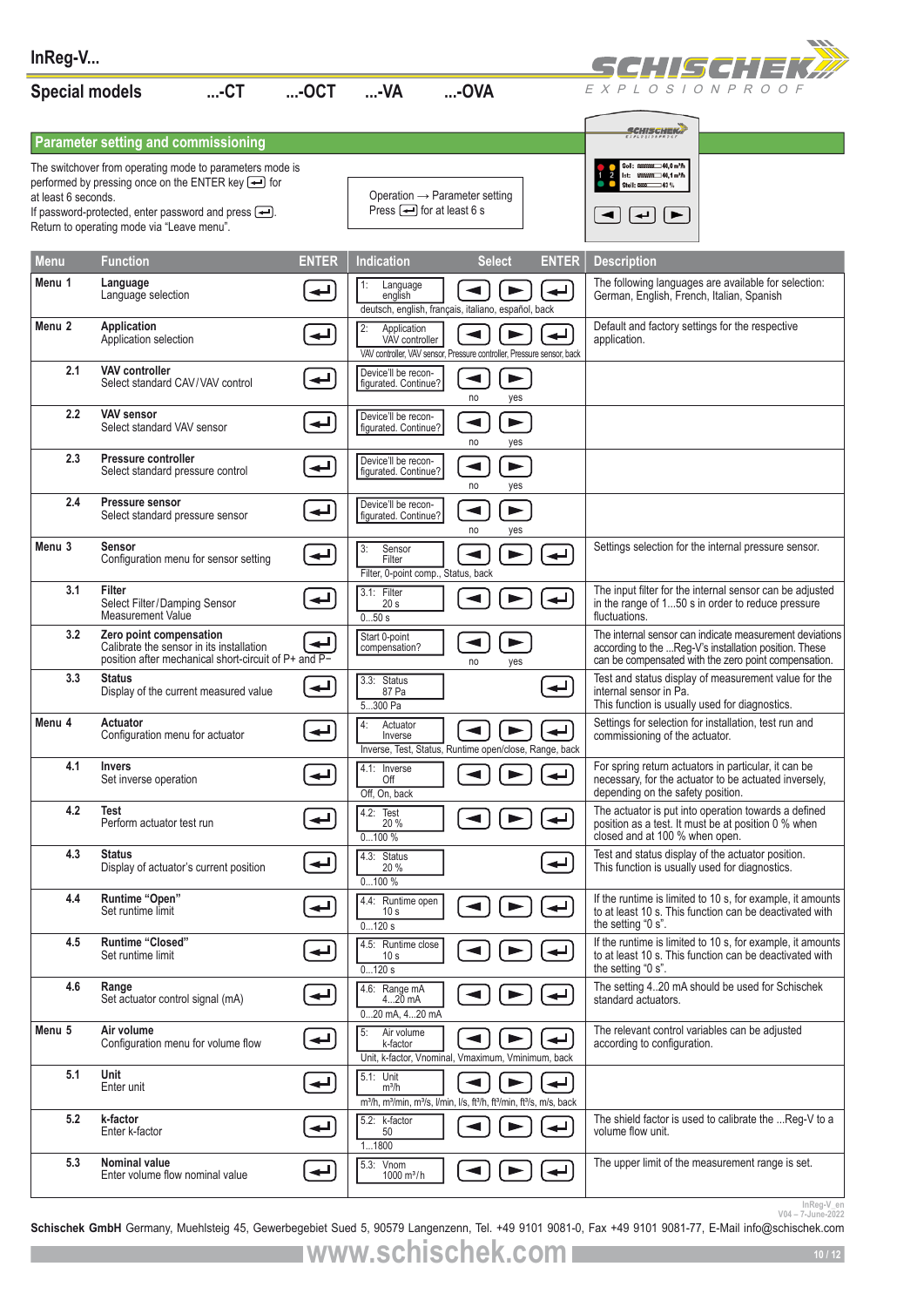| InReg-V               |                                                                                                                             |                          |                                                               |                                                                                                                                                     |                          | SCHILSCHIEK <i>D</i>                                                                                                                                                     |
|-----------------------|-----------------------------------------------------------------------------------------------------------------------------|--------------------------|---------------------------------------------------------------|-----------------------------------------------------------------------------------------------------------------------------------------------------|--------------------------|--------------------------------------------------------------------------------------------------------------------------------------------------------------------------|
| <b>Special models</b> | $$ - $CT$                                                                                                                   | $$ -OCT                  | $$ -VA                                                        | $$ -OVA                                                                                                                                             |                          | EXPLOSIONPROOF                                                                                                                                                           |
|                       | <b>Parameter setting and commissioning</b>                                                                                  |                          |                                                               |                                                                                                                                                     |                          | <b>SCHISCHEK</b>                                                                                                                                                         |
|                       | The switchover from operating mode to parameters mode is                                                                    |                          |                                                               |                                                                                                                                                     |                          | 93939393 40,0 m <sup>3</sup> fh                                                                                                                                          |
| at least 6 seconds.   | performed by pressing once on the ENTER key $\triangleq$ for                                                                |                          |                                                               | Operation $\rightarrow$ Parameter setting                                                                                                           |                          | 8933333 40,1 m <sup>3</sup> h<br>$-43%$                                                                                                                                  |
|                       | If password-protected, enter password and press $\leftarrow$ .                                                              |                          | Press $\rightarrow$ for at least 6 s                          |                                                                                                                                                     |                          | ↵<br>►                                                                                                                                                                   |
|                       | Return to operating mode via "Leave menu".                                                                                  |                          |                                                               |                                                                                                                                                     |                          |                                                                                                                                                                          |
| <b>Menu</b>           | <b>Function</b>                                                                                                             | <b>ENTER</b>             | <b>Indication</b>                                             | <b>Select</b>                                                                                                                                       | <b>ENTER</b>             | <b>Description</b>                                                                                                                                                       |
| Menu 1                | Language<br>Language selection                                                                                              | ↵                        | 1:<br>Language<br>english                                     | ◀<br>$\blacktriangleright$<br>deutsch, english, français, italiano, español, back                                                                   | $\overline{\phantom{a}}$ | The following languages are available for selection:<br>German, English, French, Italian, Spanish                                                                        |
| Menu 2                | Application<br>Application selection                                                                                        | ↵                        | 2:<br>Application<br>VAV controller                           | VAV controller, VAV sensor, Pressure controller, Pressure sensor, back                                                                              |                          | Default and factory settings for the respective<br>application.                                                                                                          |
| 2.1                   | <b>VAV controller</b><br>Select standard CAV/VAV control                                                                    |                          | Device'll be recon-<br>figurated. Continue?                   | $\blacktriangleright$<br>$\blacktriangleleft$<br>no<br>yes                                                                                          |                          |                                                                                                                                                                          |
| 2.2                   | <b>VAV sensor</b><br>Select standard VAV sensor                                                                             | ↵                        | Device'll be recon-<br>figurated. Continue?                   | ◀<br>▶<br>no<br>yes                                                                                                                                 |                          |                                                                                                                                                                          |
| 2.3                   | Pressure controller<br>Select standard pressure control                                                                     | $\overline{\phantom{a}}$ | Device'll be recon-<br>figurated. Continue?                   | $\blacktriangleright$<br>◀<br>no<br>yes                                                                                                             |                          |                                                                                                                                                                          |
| 2.4                   | Pressure sensor<br>Select standard pressure sensor                                                                          | ↵                        | Device'll be recon-<br>figurated. Continue?                   | $\blacktriangleleft$<br>$\blacktriangleright$<br>no<br>yes                                                                                          |                          |                                                                                                                                                                          |
| Menu <sub>3</sub>     | Sensor<br>Configuration menu for sensor setting                                                                             | $\overline{\phantom{a}}$ | 3:<br>Sensor<br>Filter<br>Filter, 0-point comp., Status, back |                                                                                                                                                     | ↵                        | Settings selection for the internal pressure sensor.                                                                                                                     |
| 3.1                   | <b>Filter</b><br>Select Filter/Damping Sensor<br>Measurement Value                                                          |                          | 3.1: Filter<br>20 <sub>s</sub><br>050s                        |                                                                                                                                                     | ↵                        | The input filter for the internal sensor can be adjusted<br>in the range of 150 s in order to reduce pressure<br>fluctuations.                                           |
| 3.2                   | Zero point compensation<br>Calibrate the sensor in its installation<br>position after mechanical short-circuit of P+ and P- |                          | Start 0-point<br>compensation?                                | no<br>yes                                                                                                                                           |                          | The internal sensor can indicate measurement deviations<br>according to the Reg-V's installation position. These<br>can be compensated with the zero point compensation. |
| 3.3                   | Status<br>Display of the current measured value                                                                             | $\overline{\phantom{a}}$ | <b>Status</b><br>3.3:<br>87 Pa<br>5300 Pa                     |                                                                                                                                                     | ↵                        | Test and status display of measurement value for the<br>internal sensor in Pa.<br>This function is usually used for diagnostics.                                         |
| Menu <sub>4</sub>     | Actuator<br>Configuration menu for actuator                                                                                 | ↵                        | 4:<br>Actuator<br>Inverse                                     | Inverse, Test, Status, Runtime open/close, Range, back                                                                                              |                          | Settings for selection for installation, test run and<br>commissioning of the actuator.                                                                                  |
| 4.1                   | Invers<br>Set inverse operation                                                                                             |                          | 4.1: Inverse<br>Off<br>Off, On, back                          |                                                                                                                                                     | ↵                        | For spring return actuators in particular, it can be<br>necessary, for the actuator to be actuated inversely,<br>depending on the safety position.                       |
| 4.2                   | Test<br>Perform actuator test run                                                                                           |                          | 4.2: Test<br>20 %<br>0100%                                    | ◀                                                                                                                                                   |                          | The actuator is put into operation towards a defined<br>position as a test. It must be at position 0 % when<br>closed and at 100 % when open.                            |
| 4.3                   | <b>Status</b><br>Display of actuator's current position                                                                     | $\overline{\phantom{a}}$ | 4.3:<br>Status<br>20 %<br>0100%                               |                                                                                                                                                     | $\overline{\phantom{a}}$ | Test and status display of the actuator position.<br>This function is usually used for diagnostics.                                                                      |
| 4.4                   | Runtime "Open"<br>Set runtime limit                                                                                         | ↵                        | 4.4: Runtime open<br>10 s<br>0120s                            |                                                                                                                                                     | ↵                        | If the runtime is limited to 10 s, for example, it amounts<br>to at least 10 s. This function can be deactivated with<br>the setting "0 s".                              |
| 4.5                   | Runtime "Closed"<br>Set runtime limit                                                                                       | ↵                        | 4.5: Runtime close<br>10 <sub>s</sub><br>0120s                |                                                                                                                                                     |                          | If the runtime is limited to 10 s, for example, it amounts<br>to at least 10 s. This function can be deactivated with<br>the setting "0 s".                              |
| 4.6                   | Range<br>Set actuator control signal (mA)                                                                                   | ↵                        | 4.6:<br>Range mA<br>420 mA<br>020 mA, 420 mA                  |                                                                                                                                                     |                          | The setting 420 mA should be used for Schischek<br>standard actuators.                                                                                                   |
| Menu 5                | Air volume<br>Configuration menu for volume flow                                                                            | ↵                        | Air volume<br>5:<br>k-factor                                  | Unit, k-factor, Vnominal, Vmaximum, Vminimum, back                                                                                                  | ↵                        | The relevant control variables can be adjusted<br>according to configuration.                                                                                            |
| 5.1                   | Unit<br>Enter unit                                                                                                          |                          | 5.1: Unit<br>m <sup>3</sup> /h                                | ►<br>m <sup>3</sup> /h, m <sup>3</sup> /min, m <sup>3</sup> /s, l/min, l/s, ft <sup>3</sup> /h, ft <sup>3</sup> /min, ft <sup>3</sup> /s, m/s, back |                          |                                                                                                                                                                          |
| 5.2                   | k-factor<br>Enter k-factor                                                                                                  | ↵                        | 5.2: k-factor<br>50<br>11800                                  |                                                                                                                                                     | ↵                        | The shield factor is used to calibrate the  Reg-V to a<br>volume flow unit.                                                                                              |
| 5.3                   | Nominal value<br>Enter volume flow nominal value                                                                            |                          | 5.3: Vnom<br>$1000 \text{ m}^3/h$                             |                                                                                                                                                     |                          | The upper limit of the measurement range is set.                                                                                                                         |
|                       |                                                                                                                             |                          |                                                               |                                                                                                                                                     |                          | InReg-V_er<br>V04-7-June-2022                                                                                                                                            |

<sup>InReg-V\_en</sup><br>2022-<sup>Aune-2022<br>**Schischek GmbH** Germany, Muehlsteig 45, Gewerbegebiet Sued 5, 90579 Langenzenn, Tel. +49 9101 9081-0, Fax +49 9101 9081-77, E-Mail info@schischek.com</sup>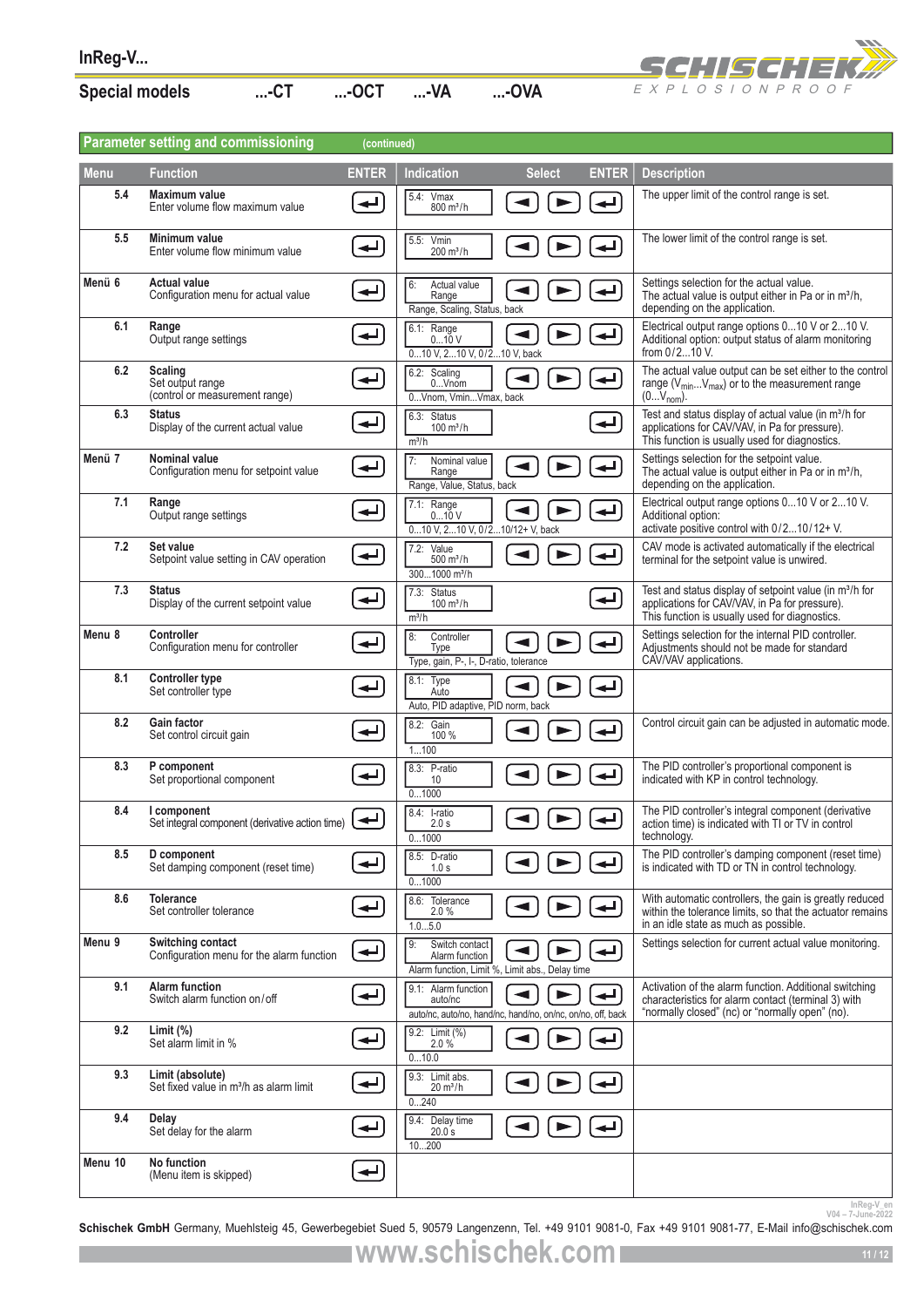| <b>Special models</b> | −∪ ا | …-OCT |  |
|-----------------------|------|-------|--|

EXPLOSIONPROOF

| InReg-V               |                                                                         |                          |                                                                         |                                                             |              | S 9:156:13                                                                                                                                                              |
|-----------------------|-------------------------------------------------------------------------|--------------------------|-------------------------------------------------------------------------|-------------------------------------------------------------|--------------|-------------------------------------------------------------------------------------------------------------------------------------------------------------------------|
| <b>Special models</b> | $$ -CT                                                                  | $$ -OCT                  | $$ -VA                                                                  | -OVA                                                        |              | EXPLOSIONPROOF                                                                                                                                                          |
|                       |                                                                         |                          |                                                                         |                                                             |              |                                                                                                                                                                         |
|                       | <b>Parameter setting and commissioning</b>                              | (continued)              |                                                                         |                                                             |              |                                                                                                                                                                         |
| <b>Menu</b>           | <b>Function</b>                                                         | <b>ENTER</b>             | Indication                                                              | <b>Select</b>                                               | <b>ENTER</b> | <b>Description</b>                                                                                                                                                      |
| 5.4                   | <b>Maximum value</b><br>Enter volume flow maximum value                 |                          | 5.4: Vmax<br>$800 \text{ m}^3/h$                                        |                                                             |              | The upper limit of the control range is set.                                                                                                                            |
| 5.5                   | Minimum value<br>Enter volume flow minimum value                        |                          | 5.5: Vmin<br>$200 \text{ m}^3/h$                                        |                                                             | ↵            | The lower limit of the control range is set.                                                                                                                            |
| Menü 6                | <b>Actual value</b><br>Configuration menu for actual value              | $\overline{\phantom{0}}$ | 6:<br>Actual value<br>Range<br>Range, Scaling, Status, back             |                                                             |              | Settings selection for the actual value.<br>The actual value is output either in Pa or in m <sup>3</sup> /h,<br>depending on the application.                           |
| 6.1                   | Range<br>Output range settings                                          | ↵                        | 6.1: Range<br>010 V<br>010 V. 210 V. 0/210 V. back                      |                                                             |              | Electrical output range options 010 V or 210 V.<br>Additional option: output status of alarm monitoring<br>from $0/2$ 10 V.                                             |
| 6.2                   | <b>Scaling</b><br>Set output range<br>(control or measurement range)    | $\overline{\phantom{a}}$ | 6.2: Scaling<br>$0$ Vnom<br>0Vnom, VminVmax, back                       | $\blacktriangleleft$<br>$\blacktriangleright$               |              | The actual value output can be set either to the control<br>range (V <sub>min</sub> V <sub>max</sub> ) or to the measurement range<br>$(0V_{nom})$ .                    |
| 6.3                   | <b>Status</b><br>Display of the current actual value                    | $\overline{\phantom{a}}$ | 6.3: Status<br>$100 \text{ m}^3/h$<br>$m^3/h$                           |                                                             | ↵            | Test and status display of actual value (in m <sup>3</sup> /h for<br>applications for CAV/VAV, in Pa for pressure).<br>This function is usually used for diagnostics.   |
| Menü 7                | <b>Nominal value</b><br>Configuration menu for setpoint value           | $\overline{\phantom{a}}$ | 7:<br>Nominal value<br>Range<br>Range, Value, Status, back              |                                                             | الم          | Settings selection for the setpoint value.<br>The actual value is output either in Pa or in m <sup>3</sup> /h,<br>depending on the application.                         |
| 7.1                   | Range<br>Output range settings                                          | $\overline{\phantom{a}}$ | 7.1: Range<br>010V<br>010 V, 210 V, 0/210/12+ V, back                   | $\blacktriangleleft$                                        |              | Electrical output range options 010 V or 210 V.<br>Additional option:<br>activate positive control with 0/210/12+ V.                                                    |
| 7.2                   | Set value<br>Setpoint value setting in CAV operation                    | $\leftarrow$             | 7.2: Value<br>$500 \, \text{m}^3/\text{h}$<br>3001000 m <sup>3</sup> /h |                                                             | ┙            | CAV mode is activated automatically if the electrical<br>terminal for the setpoint value is unwired.                                                                    |
| 7.3                   | <b>Status</b><br>Display of the current setpoint value                  | $\overline{\phantom{a}}$ | 7.3: Status<br>$100 \, \text{m}^3/\text{h}$<br>m <sup>3</sup> /h        |                                                             | ↵            | Test and status display of setpoint value (in m <sup>3</sup> /h for<br>applications for CAV/VAV, in Pa for pressure).<br>This function is usually used for diagnostics. |
| Menu 8                | <b>Controller</b><br>Configuration menu for controller                  | $\overline{\phantom{a}}$ | 8:<br>Controller<br>Type<br>Type, gain, P-, I-, D-ratio, tolerance      |                                                             | ↵            | Settings selection for the internal PID controller.<br>Adjustments should not be made for standard<br>CAV/VAV applications.                                             |
| 8.1                   | <b>Controller type</b><br>Set controller type                           |                          | 8.1: Type<br>Auto<br>Auto, PID adaptive, PID norm, back                 | ▶                                                           |              |                                                                                                                                                                         |
| 8.2                   | <b>Gain factor</b><br>Set control circuit gain                          |                          | 8.2: Gain<br>100 %<br>1100                                              | $\blacktriangleleft$                                        |              | Control circuit gain can be adjusted in automatic mode.                                                                                                                 |
| 8.3                   | P component<br>Set proportional component                               | ↵                        | 8.3: P-ratio<br>10<br>01000                                             |                                                             | ↵            | The PID controller's proportional component is<br>indicated with KP in control technology.                                                                              |
| 8.4                   | I component<br>Set integral component (derivative action time)          | ↵                        | 8.4: I-ratio<br>2.0 s<br>01000                                          |                                                             |              | The PID controller's integral component (derivative<br>action time) is indicated with TI or TV in control<br>technology.                                                |
| 8.5                   | D component<br>Set damping component (reset time)                       | $\overline{\phantom{0}}$ | 8.5: D-ratio<br>1.0 s<br>01000                                          |                                                             |              | The PID controller's damping component (reset time)<br>is indicated with TD or TN in control technology.                                                                |
| 8.6                   | <b>Tolerance</b><br>Set controller tolerance                            | $\overline{\phantom{a}}$ | 8.6: Tolerance<br>2.0%<br>1.05.0                                        |                                                             |              | With automatic controllers, the gain is greatly reduced<br>within the tolerance limits, so that the actuator remains<br>in an idle state as much as possible.           |
| Menu 9                | Switching contact<br>Configuration menu for the alarm function          | $\leftarrow$             | Switch contact<br>I 9:<br>Alarm function                                | Alarm function, Limit %, Limit abs., Delay time             | اله          | Settings selection for current actual value monitoring.                                                                                                                 |
| 9.1                   | <b>Alarm function</b><br>Switch alarm function on/off                   | رتے                      | 9.1: Alarm function<br>auto/nc                                          | auto/nc, auto/no, hand/nc, hand/no, on/nc, on/no, off, back | ↵            | Activation of the alarm function. Additional switching<br>characteristics for alarm contact (terminal 3) with<br>"normally closed" (nc) or "normally open" (no).        |
| 9.2                   | Limit $(\%)$<br>Set alarm limit in %                                    | ↵                        | 9.2: Limit (%)<br>2.0%<br>010.0                                         |                                                             |              |                                                                                                                                                                         |
| 9.3                   | Limit (absolute)<br>Set fixed value in m <sup>3</sup> /h as alarm limit | ↵                        | 9.3: Limit abs.<br>$20 \text{ m}^3/h$<br>0240                           |                                                             |              |                                                                                                                                                                         |
| 9.4                   | Delay<br>Set delay for the alarm                                        |                          | 9.4: Delay time<br>20.0 s<br>10200                                      |                                                             |              |                                                                                                                                                                         |
| Menu 10               | No function<br>(Menu item is skipped)                                   | ↵                        |                                                                         |                                                             |              |                                                                                                                                                                         |
|                       |                                                                         |                          |                                                                         |                                                             |              | InReg-V_en<br>V04-7-June-2022                                                                                                                                           |

Inkeg-V\_en<br>2022-10une-2022<br>**Schischek GmbH** Germany, Muehlsteig 45, Gewerbegebiet Sued 5, 90579 Langenzenn, Tel. +49 9101 9081-0, Fax +49 9101 9081-77, E-Mail info@schischek.com